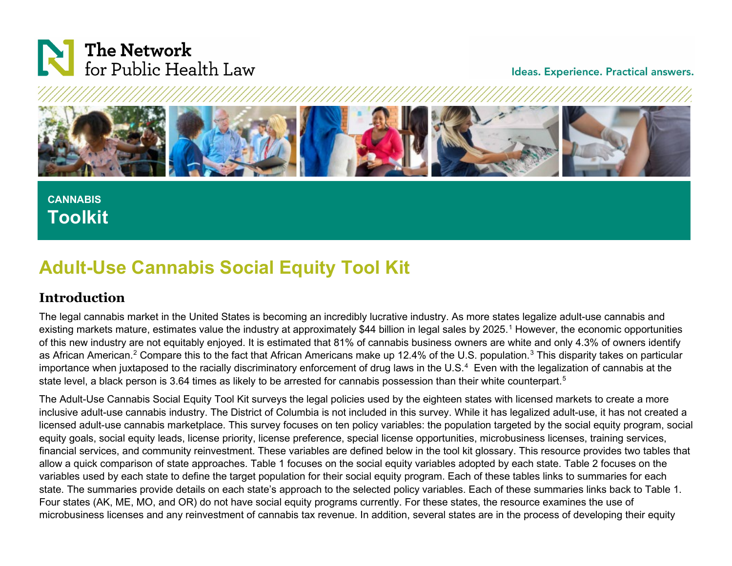

#### Ideas. Experience. Practical answers.



# **CANNABIS Toolkit**

# **Adult-Use Cannabis Social Equity Tool Kit**

## **Introduction**

The legal cannabis market in the United States is becoming an incredibly lucrative industry. As more states legalize adult-use cannabis and existing markets mature, estimates value the industry at approximately \$44 billion in legal sales by 2025.<sup>[1](#page-34-0)</sup> However, the economic opportunities of this new industry are not equitably enjoyed. It is estimated that 81% of cannabis business owners are white and only 4.3% of owners identify as African American.<sup>[2](#page-34-1)</sup> Compare this to the fact that African Americans make up 12.4% of the U.S. population.<sup>[3](#page-34-2)</sup> This disparity takes on particular importance when juxtaposed to the racially discriminatory enforcement of drug laws in the U.S. $4$  Even with the legalization of cannabis at the state level, a black person is 3.64 times as likely to be arrested for cannabis possession than their white counterpart.<sup>[5](#page-34-4)</sup>

The Adult-Use Cannabis Social Equity Tool Kit surveys the legal policies used by the eighteen states with licensed markets to create a more inclusive adult-use cannabis industry. The District of Columbia is not included in this survey. While it has legalized adult-use, it has not created a licensed adult-use cannabis marketplace. This survey focuses on ten policy variables: the population targeted by the social equity program, social equity goals, social equity leads, license priority, license preference, special license opportunities, microbusiness licenses, training services, financial services, and community reinvestment. These variables are defined below in the tool kit glossary. This resource provides two tables that allow a quick comparison of state approaches. Table 1 focuses on the social equity variables adopted by each state. Table 2 focuses on the variables used by each state to define the target population for their social equity program. Each of these tables links to summaries for each state. The summaries provide details on each state's approach to the selected policy variables. Each of these summaries links back to Table 1. Four states (AK, ME, MO, and OR) do not have social equity programs currently. For these states, the resource examines the use of microbusiness licenses and any reinvestment of cannabis tax revenue. In addition, several states are in the process of developing their equity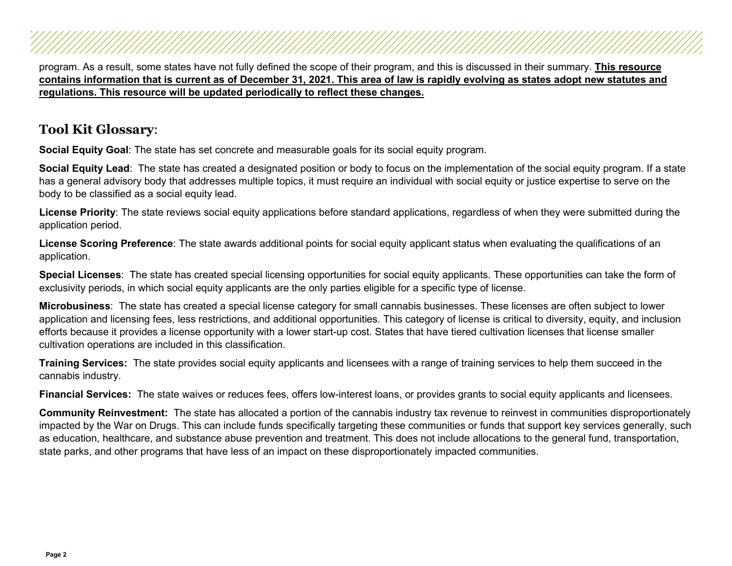program. As a result, some states have not fully defined the scope of their program, and this is discussed in their summary. **This resource contains information that is current as of December 31, 2021. This area of law is rapidly evolving as states adopt new statutes and regulations. This resource will be updated periodically to reflect these changes.**

## **Tool Kit Glossary**:

**Social Equity Goal**: The state has set concrete and measurable goals for its social equity program.

**Social Equity Lead**: The state has created a designated position or body to focus on the implementation of the social equity program. If a state has a general advisory body that addresses multiple topics, it must require an individual with social equity or justice expertise to serve on the body to be classified as a social equity lead.

**License Priority**: The state reviews social equity applications before standard applications, regardless of when they were submitted during the application period.

**License Scoring Preference**: The state awards additional points for social equity applicant status when evaluating the qualifications of an application.

**Special Licenses**: The state has created special licensing opportunities for social equity applicants. These opportunities can take the form of exclusivity periods, in which social equity applicants are the only parties eligible for a specific type of license.

**Microbusiness**: The state has created a special license category for small cannabis businesses. These licenses are often subject to lower application and licensing fees, less restrictions, and additional opportunities. This category of license is critical to diversity, equity, and inclusion efforts because it provides a license opportunity with a lower start-up cost. States that have tiered cultivation licenses that license smaller cultivation operations are included in this classification.

**Training Services:** The state provides social equity applicants and licensees with a range of training services to help them succeed in the cannabis industry.

**Financial Services:** The state waives or reduces fees, offers low-interest loans, or provides grants to social equity applicants and licensees.

**Community Reinvestment:** The state has allocated a portion of the cannabis industry tax revenue to reinvest in communities disproportionately impacted by the War on Drugs. This can include funds specifically targeting these communities or funds that support key services generally, such as education, healthcare, and substance abuse prevention and treatment. This does not include allocations to the general fund, transportation, state parks, and other programs that have less of an impact on these disproportionately impacted communities.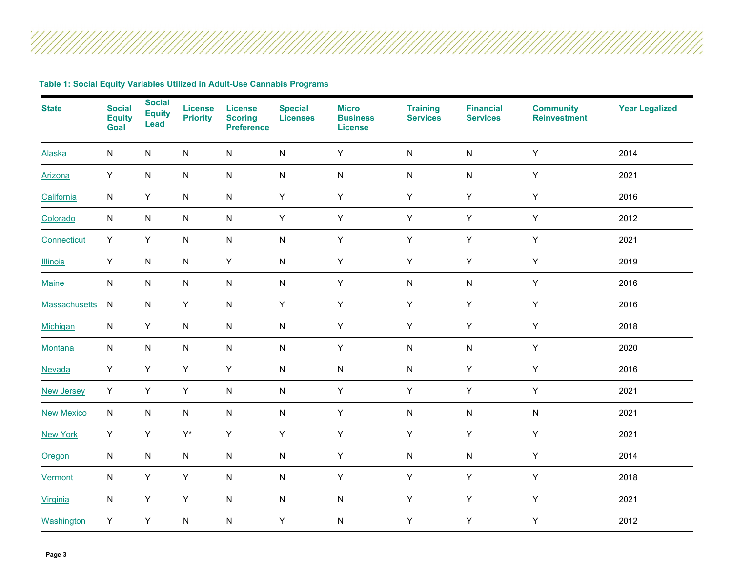**Table 1: Social Equity Variables Utilized in Adult-Use Cannabis Programs**

<span id="page-2-17"></span><span id="page-2-16"></span><span id="page-2-15"></span><span id="page-2-14"></span><span id="page-2-13"></span><span id="page-2-12"></span><span id="page-2-11"></span><span id="page-2-10"></span><span id="page-2-9"></span><span id="page-2-8"></span><span id="page-2-7"></span><span id="page-2-6"></span><span id="page-2-5"></span><span id="page-2-4"></span><span id="page-2-3"></span><span id="page-2-2"></span><span id="page-2-1"></span><span id="page-2-0"></span>

| <b>State</b>         | <b>Social</b><br><b>Equity</b><br>Goal | <b>Social</b><br><b>Equity</b><br>Lead | <b>License</b><br><b>Priority</b> | <b>License</b><br><b>Scoring</b><br><b>Preference</b> | <b>Special</b><br><b>Licenses</b> | <b>Micro</b><br><b>Business</b><br><b>License</b> | <b>Training</b><br><b>Services</b> | <b>Financial</b><br><b>Services</b> | <b>Community</b><br><b>Reinvestment</b> | <b>Year Legalized</b> |
|----------------------|----------------------------------------|----------------------------------------|-----------------------------------|-------------------------------------------------------|-----------------------------------|---------------------------------------------------|------------------------------------|-------------------------------------|-----------------------------------------|-----------------------|
| <b>Alaska</b>        | ${\sf N}$                              | N                                      | ${\sf N}$                         | ${\sf N}$                                             | ${\sf N}$                         | Y                                                 | ${\sf N}$                          | ${\sf N}$                           | $\mathsf Y$                             | 2014                  |
| Arizona              | Y                                      | ${\sf N}$                              | ${\sf N}$                         | ${\sf N}$                                             | ${\sf N}$                         | ${\sf N}$                                         | N                                  | ${\sf N}$                           | Y                                       | 2021                  |
| California           | ${\sf N}$                              | Υ                                      | ${\sf N}$                         | ${\sf N}$                                             | Y                                 | Υ                                                 | $\mathsf Y$                        | Y                                   | Υ                                       | 2016                  |
| Colorado             | ${\sf N}$                              | ${\sf N}$                              | ${\sf N}$                         | ${\sf N}$                                             | $\mathsf Y$                       | $\sf Y$                                           | $\sf Y$                            | Y                                   | $\mathsf Y$                             | 2012                  |
| Connecticut          | Y                                      | Y                                      | ${\sf N}$                         | ${\sf N}$                                             | ${\sf N}$                         | Υ                                                 | $\mathsf Y$                        | Y                                   | Y                                       | 2021                  |
| <b>Illinois</b>      | Y                                      | ${\sf N}$                              | ${\sf N}$                         | Υ                                                     | ${\sf N}$                         | Υ                                                 | Y                                  | Y                                   | Υ                                       | 2019                  |
| <b>Maine</b>         | ${\sf N}$                              | ${\sf N}$                              | ${\sf N}$                         | ${\sf N}$                                             | ${\sf N}$                         | Υ                                                 | N                                  | ${\sf N}$                           | Υ                                       | 2016                  |
| <b>Massachusetts</b> | ${\sf N}$                              | N                                      | Y                                 | ${\sf N}$                                             | $\mathsf Y$                       | Υ                                                 | Y                                  | $\mathsf Y$                         | Υ                                       | 2016                  |
| Michigan             | ${\sf N}$                              | Υ                                      | ${\sf N}$                         | ${\sf N}$                                             | ${\sf N}$                         | Υ                                                 | $\mathsf Y$                        | $\mathsf Y$                         | Υ                                       | 2018                  |
| Montana              | ${\sf N}$                              | ${\sf N}$                              | ${\sf N}$                         | ${\sf N}$                                             | ${\sf N}$                         | Υ                                                 | ${\sf N}$                          | ${\sf N}$                           | Y                                       | 2020                  |
| Nevada               | Y                                      | Υ                                      | Y                                 | Y                                                     | ${\sf N}$                         | ${\sf N}$                                         | ${\sf N}$                          | Y                                   | Y                                       | 2016                  |
| <b>New Jersey</b>    | Y                                      | Y                                      | Y                                 | ${\sf N}$                                             | ${\sf N}$                         | Y                                                 | Y                                  | Y                                   | Y                                       | 2021                  |
| <b>New Mexico</b>    | ${\sf N}$                              | N                                      | ${\sf N}$                         | ${\sf N}$                                             | ${\sf N}$                         | Υ                                                 | N                                  | ${\sf N}$                           | ${\sf N}$                               | 2021                  |
| <b>New York</b>      | Y                                      | Υ                                      | $\mathsf{Y}^\star$                | Υ                                                     | $\mathsf Y$                       | Υ                                                 | $\mathsf Y$                        | $\mathsf Y$                         | Υ                                       | 2021                  |
| Oregon               | ${\sf N}$                              | ${\sf N}$                              | ${\sf N}$                         | ${\sf N}$                                             | ${\sf N}$                         | Υ                                                 | ${\sf N}$                          | ${\sf N}$                           | Υ                                       | 2014                  |
| Vermont              | ${\sf N}$                              | Υ                                      | $\mathsf Y$                       | ${\sf N}$                                             | ${\sf N}$                         | Υ                                                 | Y                                  | Υ                                   | Υ                                       | 2018                  |
| Virginia             | ${\sf N}$                              | Υ                                      | Y                                 | ${\sf N}$                                             | ${\sf N}$                         | ${\sf N}$                                         | Y                                  | Y                                   | Υ                                       | 2021                  |
| Washington           | Y                                      | Υ                                      | ${\sf N}$                         | ${\sf N}$                                             | Υ                                 | ${\sf N}$                                         | Y                                  | Υ                                   | Υ                                       | 2012                  |

'///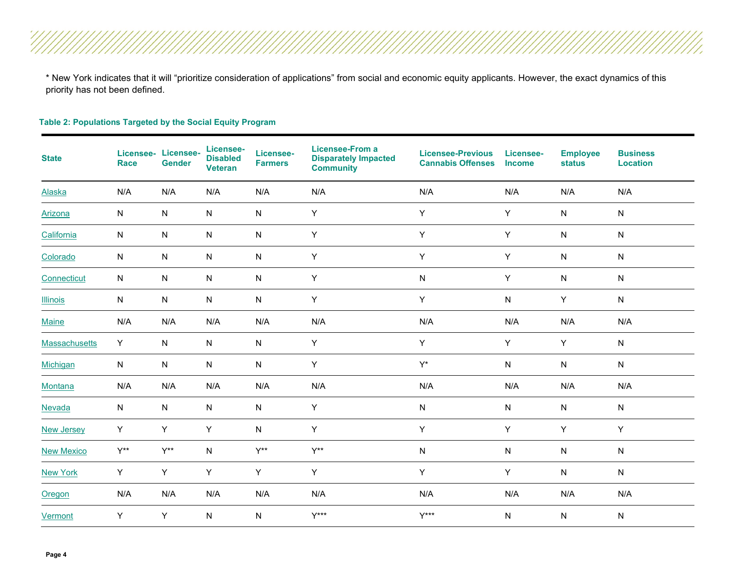\* New York indicates that it will "prioritize consideration of applications" from social and economic equity applicants. However, the exact dynamics of this priority has not been defined.

#### **Table 2: Populations Targeted by the Social Equity Program**

| <b>State</b>      | Licensee-<br><b>Race</b> | Licensee-<br><b>Gender</b> | Licensee-<br><b>Disabled</b><br><b>Veteran</b> | Licensee-<br><b>Farmers</b> | <b>Licensee-From a</b><br><b>Disparately Impacted</b><br><b>Community</b> | <b>Licensee-Previous</b><br><b>Cannabis Offenses</b> | Licensee-<br><b>Income</b> | <b>Employee</b><br><b>status</b> | <b>Business</b><br><b>Location</b> |
|-------------------|--------------------------|----------------------------|------------------------------------------------|-----------------------------|---------------------------------------------------------------------------|------------------------------------------------------|----------------------------|----------------------------------|------------------------------------|
| Alaska            | N/A                      | N/A                        | N/A                                            | N/A                         | N/A                                                                       | N/A                                                  | N/A                        | N/A                              | N/A                                |
| <b>Arizona</b>    | ${\sf N}$                | N                          | N                                              | ${\sf N}$                   | Y                                                                         | Y                                                    | Y                          | ${\sf N}$                        | N                                  |
| California        | ${\sf N}$                | N                          | N                                              | ${\sf N}$                   | Y                                                                         | Y                                                    | Y                          | N                                | N                                  |
| Colorado          | ${\sf N}$                | N                          | ${\sf N}$                                      | ${\sf N}$                   | Y                                                                         | Y                                                    | Y                          | ${\sf N}$                        | ${\sf N}$                          |
| Connecticut       | ${\sf N}$                | N                          | N                                              | ${\sf N}$                   | Υ                                                                         | $\mathsf{N}$                                         | Y                          | ${\sf N}$                        | N                                  |
| <b>Illinois</b>   | ${\sf N}$                | N                          | N                                              | ${\sf N}$                   | Υ                                                                         | Y                                                    | ${\sf N}$                  | Υ                                | N                                  |
| Maine             | N/A                      | N/A                        | N/A                                            | N/A                         | N/A                                                                       | N/A                                                  | N/A                        | N/A                              | N/A                                |
| Massachusetts     | Y                        | N                          | ${\sf N}$                                      | ${\sf N}$                   | Y                                                                         | Y                                                    | Y                          | Y                                | ${\sf N}$                          |
| Michigan          | ${\sf N}$                | N                          | N                                              | ${\sf N}$                   | Y                                                                         | $Y^*$                                                | ${\sf N}$                  | ${\sf N}$                        | ${\sf N}$                          |
| Montana           | N/A                      | N/A                        | N/A                                            | N/A                         | N/A                                                                       | N/A                                                  | N/A                        | N/A                              | N/A                                |
| Nevada            | ${\sf N}$                | N                          | N                                              | ${\sf N}$                   | Y                                                                         | $\mathsf{N}$                                         | ${\sf N}$                  | N                                | N                                  |
| <b>New Jersey</b> | Y                        | Υ                          | Y                                              | ${\sf N}$                   | Y                                                                         | Y                                                    | Y                          | Υ                                | Y                                  |
| <b>New Mexico</b> | $Y^{**}$                 | $Y^{\ast\ast}$             | ${\sf N}$                                      | $Y^{\star\star}$            | $Y^{\star\star}$                                                          | ${\sf N}$                                            | ${\sf N}$                  | ${\sf N}$                        | ${\sf N}$                          |
| <b>New York</b>   | Y                        | Y                          | Y                                              | Y                           | Y                                                                         | Y                                                    | Y                          | ${\sf N}$                        | ${\sf N}$                          |
| Oregon            | N/A                      | N/A                        | N/A                                            | N/A                         | N/A                                                                       | N/A                                                  | N/A                        | N/A                              | N/A                                |
| Vermont           | Y                        | Y                          | ${\sf N}$                                      | N                           | $Y***$                                                                    | $Y***$                                               | N                          | ${\sf N}$                        | N                                  |

Ž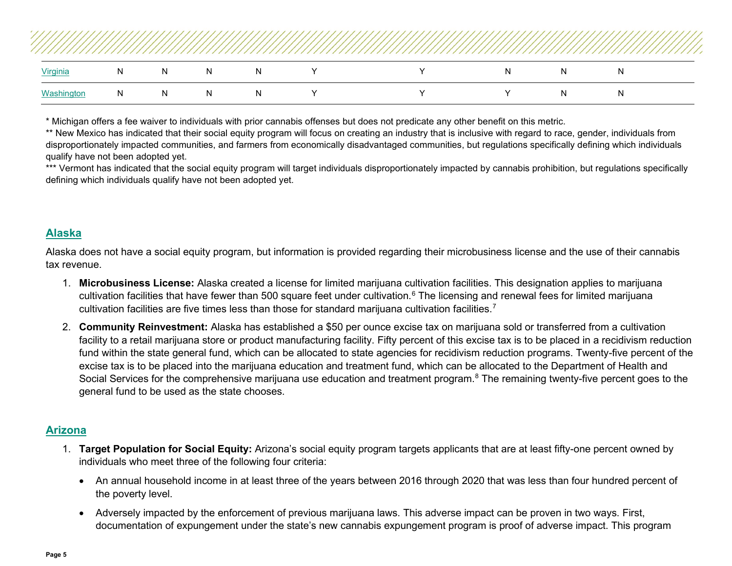|            |    |   |              |    |       |              |    |    |    | /////// |
|------------|----|---|--------------|----|-------|--------------|----|----|----|---------|
| Virginia   | N  | N | -N           | N  | - Y - | $\mathsf{Y}$ | N. | N. | N. |         |
| Washington | N. | N | <sub>N</sub> | N. |       | Y            | v. | N  | N  |         |

\* Michigan offers a fee waiver to individuals with prior cannabis offenses but does not predicate any other benefit on this metric.

\*\* New Mexico has indicated that their social equity program will focus on creating an industry that is inclusive with regard to race, gender, individuals from disproportionately impacted communities, and farmers from economically disadvantaged communities, but regulations specifically defining which individuals qualify have not been adopted yet.

\*\*\* Vermont has indicated that the social equity program will target individuals disproportionately impacted by cannabis prohibition, but regulations specifically defining which individuals qualify have not been adopted yet.

#### <span id="page-4-0"></span>**[Alaska](#page-2-0)**

Alaska does not have a social equity program, but information is provided regarding their microbusiness license and the use of their cannabis tax revenue.

- 1. **Microbusiness License:** Alaska created a license for limited marijuana cultivation facilities. This designation applies to marijuana cultivation facilities that have fewer than 500 square feet under cultivation.<sup>[6](#page-34-5)</sup> The licensing and renewal fees for limited marijuana cultivation facilities are five times less than those for standard marijuana cultivation facilities.<sup>[7](#page-34-6)</sup>
- 2. **Community Reinvestment:** Alaska has established a \$50 per ounce excise tax on marijuana sold or transferred from a cultivation facility to a retail marijuana store or product manufacturing facility. Fifty percent of this excise tax is to be placed in a recidivism reduction fund within the state general fund, which can be allocated to state agencies for recidivism reduction programs. Twenty-five percent of the excise tax is to be placed into the marijuana education and treatment fund, which can be allocated to the Department of Health and Social Services for the comprehensive marijuana use education and treatment program.<sup>[8](#page-34-7)</sup> The remaining twenty-five percent goes to the general fund to be used as the state chooses.

#### <span id="page-4-1"></span>**[Arizona](#page-2-1)**

- 1. **Target Population for Social Equity:** Arizona's social equity program targets applicants that are at least fifty-one percent owned by individuals who meet three of the following four criteria:
	- An annual household income in at least three of the years between 2016 through 2020 that was less than four hundred percent of the poverty level.
	- Adversely impacted by the enforcement of previous marijuana laws. This adverse impact can be proven in two ways. First, documentation of expungement under the state's new cannabis expungement program is proof of adverse impact. This program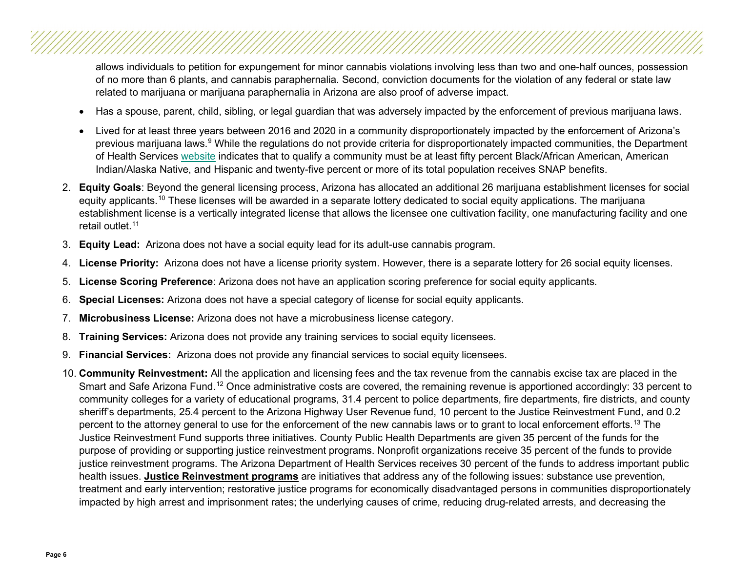allows individuals to petition for expungement for minor cannabis violations involving less than two and one-half ounces, possession of no more than 6 plants, and cannabis paraphernalia. Second, conviction documents for the violation of any federal or state law related to marijuana or marijuana paraphernalia in Arizona are also proof of adverse impact.

- Has a spouse, parent, child, sibling, or legal guardian that was adversely impacted by the enforcement of previous marijuana laws.
- Lived for at least three years between 2016 and 2020 in a community disproportionately impacted by the enforcement of Arizona's previous marijuana laws.<sup>[9](#page-34-8)</sup> While the regulations do not provide criteria for disproportionately impacted communities, the Department of Health Services [website](https://azdhs.gov/licensing/marijuana/social-equity/index.php#qualification) indicates that to qualify a community must be at least fifty percent Black/African American, American Indian/Alaska Native, and Hispanic and twenty-five percent or more of its total population receives SNAP benefits.
- 2. **Equity Goals**: Beyond the general licensing process, Arizona has allocated an additional 26 marijuana establishment licenses for social equity applicants.<sup>[10](#page-34-9)</sup> These licenses will be awarded in a separate lottery dedicated to social equity applications. The marijuana establishment license is a vertically integrated license that allows the licensee one cultivation facility, one manufacturing facility and one retail outlet.<sup>[11](#page-34-10)</sup>
- 3. **Equity Lead:** Arizona does not have a social equity lead for its adult-use cannabis program.
- 4. **License Priority:** Arizona does not have a license priority system. However, there is a separate lottery for 26 social equity licenses.
- 5. **License Scoring Preference**: Arizona does not have an application scoring preference for social equity applicants.
- 6. **Special Licenses:** Arizona does not have a special category of license for social equity applicants.
- 7. **Microbusiness License:** Arizona does not have a microbusiness license category.
- 8. **Training Services:** Arizona does not provide any training services to social equity licensees.
- 9. **Financial Services:** Arizona does not provide any financial services to social equity licensees.
- 10. **Community Reinvestment:** All the application and licensing fees and the tax revenue from the cannabis excise tax are placed in the Smart and Safe Arizona Fund.<sup>[12](#page-34-11)</sup> Once administrative costs are covered, the remaining revenue is apportioned accordingly: 33 percent to community colleges for a variety of educational programs, 31.4 percent to police departments, fire departments, fire districts, and county sheriff's departments, 25.4 percent to the Arizona Highway User Revenue fund, 10 percent to the Justice Reinvestment Fund, and 0.2 percent to the attorney general to use for the enforcement of the new cannabis laws or to grant to local enforcement efforts.<sup>[13](#page-34-12)</sup> The Justice Reinvestment Fund supports three initiatives. County Public Health Departments are given 35 percent of the funds for the purpose of providing or supporting justice reinvestment programs. Nonprofit organizations receive 35 percent of the funds to provide justice reinvestment programs. The Arizona Department of Health Services receives 30 percent of the funds to address important public health issues. **Justice Reinvestment programs** are initiatives that address any of the following issues: substance use prevention, treatment and early intervention; restorative justice programs for economically disadvantaged persons in communities disproportionately impacted by high arrest and imprisonment rates; the underlying causes of crime, reducing drug-related arrests, and decreasing the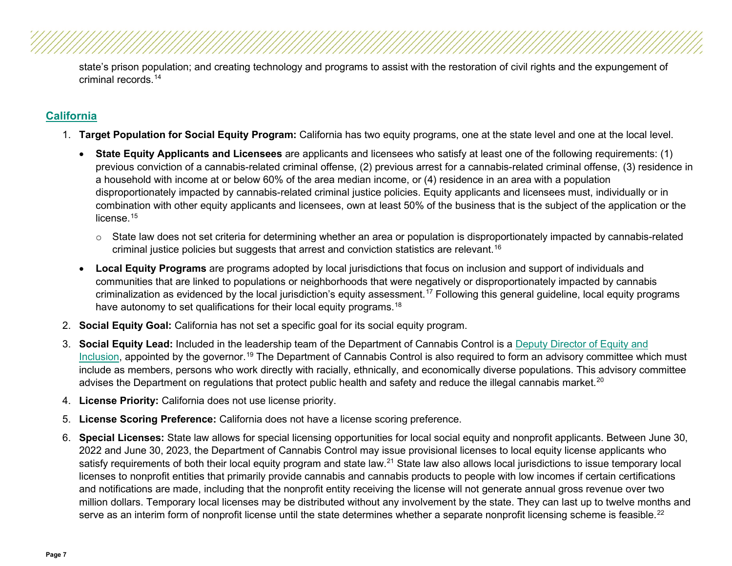state's prison population; and creating technology and programs to assist with the restoration of civil rights and the expungement of criminal records.[14](#page-34-13)

### <span id="page-6-0"></span>**[California](#page-2-2)**

- 1. **Target Population for Social Equity Program:** California has two equity programs, one at the state level and one at the local level.
	- **State Equity Applicants and Licensees** are applicants and licensees who satisfy at least one of the following requirements: (1) previous conviction of a cannabis-related criminal offense, (2) previous arrest for a cannabis-related criminal offense, (3) residence in a household with income at or below 60% of the area median income, or (4) residence in an area with a population disproportionately impacted by cannabis-related criminal justice policies. Equity applicants and licensees must, individually or in combination with other equity applicants and licensees, own at least 50% of the business that is the subject of the application or the license.<sup>[15](#page-34-14)</sup>
		- $\circ$  State law does not set criteria for determining whether an area or population is disproportionately impacted by cannabis-related criminal justice policies but suggests that arrest and conviction statistics are relevant.<sup>[16](#page-34-15)</sup>
	- **Local Equity Programs** are programs adopted by local jurisdictions that focus on inclusion and support of individuals and communities that are linked to populations or neighborhoods that were negatively or disproportionately impacted by cannabis criminalization as evidenced by the local jurisdiction's equity assessment.<sup>[17](#page-34-16)</sup> Following this general guideline, local equity programs have autonomy to set qualifications for their local equity programs.<sup>[18](#page-34-17)</sup>
- 2. **Social Equity Goal:** California has not set a specific goal for its social equity program.
- 3. **Social Equity Lead:** Included in the leadership team of the Department of Cannabis Control is a [Deputy Director of Equity and](https://cannabis.ca.gov/about-us/about-dcc/)  [Inclusion,](https://cannabis.ca.gov/about-us/about-dcc/) appointed by the governor.<sup>[19](#page-34-18)</sup> The Department of Cannabis Control is also required to form an advisory committee which must include as members, persons who work directly with racially, ethnically, and economically diverse populations. This advisory committee advises the Department on regulations that protect public health and safety and reduce the illegal cannabis market.<sup>[20](#page-34-19)</sup>
- 4. **License Priority:** California does not use license priority.
- 5. **License Scoring Preference:** California does not have a license scoring preference.
- 6. **Special Licenses:** State law allows for special licensing opportunities for local social equity and nonprofit applicants. Between June 30, 2022 and June 30, 2023, the Department of Cannabis Control may issue provisional licenses to local equity license applicants who satisfy requirements of both their local equity program and state law.<sup>[21](#page-34-20)</sup> State law also allows local jurisdictions to issue temporary local licenses to nonprofit entities that primarily provide cannabis and cannabis products to people with low incomes if certain certifications and notifications are made, including that the nonprofit entity receiving the license will not generate annual gross revenue over two million dollars. Temporary local licenses may be distributed without any involvement by the state. They can last up to twelve months and serve as an interim form of nonprofit license until the state determines whether a separate nonprofit licensing scheme is feasible.<sup>[22](#page-34-21)</sup>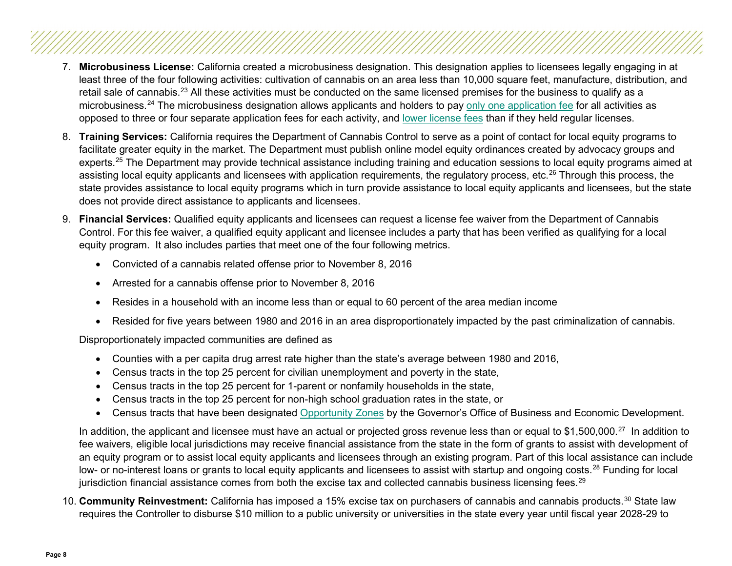- 7. **Microbusiness License:** California created a microbusiness designation. This designation applies to licensees legally engaging in at least three of the four following activities: cultivation of cannabis on an area less than 10,000 square feet, manufacture, distribution, and retail sale of cannabis.<sup>23</sup> All these activities must be conducted on the same licensed premises for the business to qualify as a microbusiness.<sup>[24](#page-34-23)</sup> The microbusiness designation allows applicants and holders to pay [only one application fee](https://cannabis.ca.gov/applicants/application-license-fees/) for all activities as opposed to three or four separate application fees for each activity, and [lower license fees](https://cannabis.ca.gov/applicants/application-license-fees/) than if they held regular licenses.
- 8. **Training Services:** California requires the Department of Cannabis Control to serve as a point of contact for local equity programs to facilitate greater equity in the market. The Department must publish online model equity ordinances created by advocacy groups and experts.<sup>[25](#page-34-24)</sup> The Department may provide technical assistance including training and education sessions to local equity programs aimed at assisting local equity applicants and licensees with application requirements, the regulatory process, etc.<sup>[26](#page-34-25)</sup> Through this process, the state provides assistance to local equity programs which in turn provide assistance to local equity applicants and licensees, but the state does not provide direct assistance to applicants and licensees.
- 9. **Financial Services:** Qualified equity applicants and licensees can request a license fee waiver from the Department of Cannabis Control. For this fee waiver, a qualified equity applicant and licensee includes a party that has been verified as qualifying for a local equity program. It also includes parties that meet one of the four following metrics.
	- Convicted of a cannabis related offense prior to November 8, 2016
	- Arrested for a cannabis offense prior to November 8, 2016
	- Resides in a household with an income less than or equal to 60 percent of the area median income
	- Resided for five years between 1980 and 2016 in an area disproportionately impacted by the past criminalization of cannabis.

Disproportionately impacted communities are defined as

- Counties with a per capita drug arrest rate higher than the state's average between 1980 and 2016,
- Census tracts in the top 25 percent for civilian unemployment and poverty in the state,
- Census tracts in the top 25 percent for 1-parent or nonfamily households in the state,
- Census tracts in the top 25 percent for non-high school graduation rates in the state, or
- Census tracts that have been designated [Opportunity Zones](https://opzones.ca.gov/) by the Governor's Office of Business and Economic Development.

In addition, the applicant and licensee must have an actual or projected gross revenue less than or equal to \$1,500,000.<sup>[27](#page-34-26)</sup> In addition to fee waivers, eligible local jurisdictions may receive financial assistance from the state in the form of grants to assist with development of an equity program or to assist local equity applicants and licensees through an existing program. Part of this local assistance can include low- or no-interest loans or grants to local equity applicants and licensees to assist with startup and ongoing costs.<sup>[28](#page-35-0)</sup> Funding for local jurisdiction financial assistance comes from both the excise tax and collected cannabis business licensing fees.<sup>[29](#page-35-1)</sup>

10. **Community Reinvestment:** California has imposed a 15% excise tax on purchasers of cannabis and cannabis products.[30](#page-35-2) State law requires the Controller to disburse \$10 million to a public university or universities in the state every year until fiscal year 2028-29 to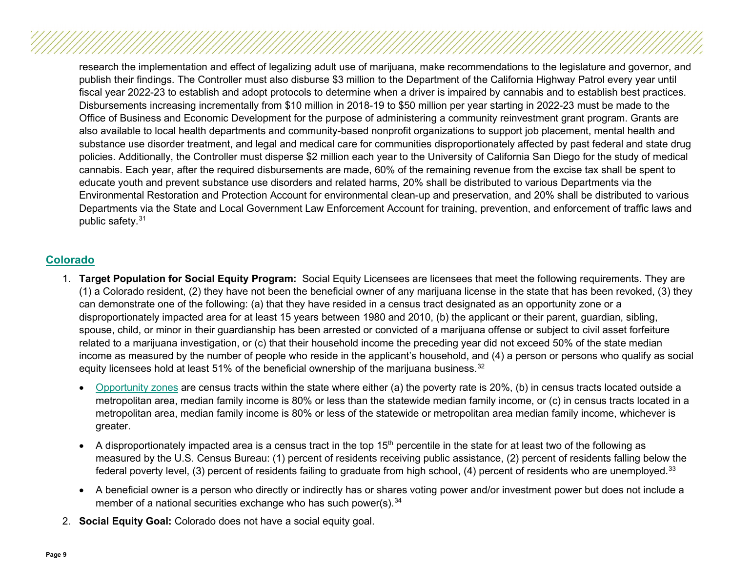research the implementation and effect of legalizing adult use of marijuana, make recommendations to the legislature and governor, and publish their findings. The Controller must also disburse \$3 million to the Department of the California Highway Patrol every year until fiscal year 2022-23 to establish and adopt protocols to determine when a driver is impaired by cannabis and to establish best practices. Disbursements increasing incrementally from \$10 million in 2018-19 to \$50 million per year starting in 2022-23 must be made to the Office of Business and Economic Development for the purpose of administering a community reinvestment grant program. Grants are also available to local health departments and community-based nonprofit organizations to support job placement, mental health and substance use disorder treatment, and legal and medical care for communities disproportionately affected by past federal and state drug policies. Additionally, the Controller must disperse \$2 million each year to the University of California San Diego for the study of medical cannabis. Each year, after the required disbursements are made, 60% of the remaining revenue from the excise tax shall be spent to educate youth and prevent substance use disorders and related harms, 20% shall be distributed to various Departments via the Environmental Restoration and Protection Account for environmental clean-up and preservation, and 20% shall be distributed to various Departments via the State and Local Government Law Enforcement Account for training, prevention, and enforcement of traffic laws and public safety.[31](#page-35-3)

#### <span id="page-8-0"></span>**[Colorado](#page-2-3)**

- 1. **Target Population for Social Equity Program:** Social Equity Licensees are licensees that meet the following requirements. They are (1) a Colorado resident, (2) they have not been the beneficial owner of any marijuana license in the state that has been revoked, (3) they can demonstrate one of the following: (a) that they have resided in a census tract designated as an opportunity zone or a disproportionately impacted area for at least 15 years between 1980 and 2010, (b) the applicant or their parent, guardian, sibling, spouse, child, or minor in their guardianship has been arrested or convicted of a marijuana offense or subject to civil asset forfeiture related to a marijuana investigation, or (c) that their household income the preceding year did not exceed 50% of the state median income as measured by the number of people who reside in the applicant's household, and (4) a person or persons who qualify as social equity licensees hold at least 51% of the beneficial ownership of the marijuana business.<sup>[32](#page-35-4)</sup>
	- [Opportunity zones](https://oedit.colorado.gov/colorado-opportunity-zone-program) are census tracts within the state where either (a) the poverty rate is 20%, (b) in census tracts located outside a metropolitan area, median family income is 80% or less than the statewide median family income, or (c) in census tracts located in a metropolitan area, median family income is 80% or less of the statewide or metropolitan area median family income, whichever is greater.
	- A disproportionately impacted area is a census tract in the top 15<sup>th</sup> percentile in the state for at least two of the following as measured by the U.S. Census Bureau: (1) percent of residents receiving public assistance, (2) percent of residents falling below the federal poverty level, (3) percent of residents failing to graduate from high school, (4) percent of residents who are unemployed.<sup>[33](#page-35-5)</sup>
	- A beneficial owner is a person who directly or indirectly has or shares voting power and/or investment power but does not include a member of a national securities exchange who has such power(s).<sup>[34](#page-35-6)</sup>
- 2. **Social Equity Goal:** Colorado does not have a social equity goal.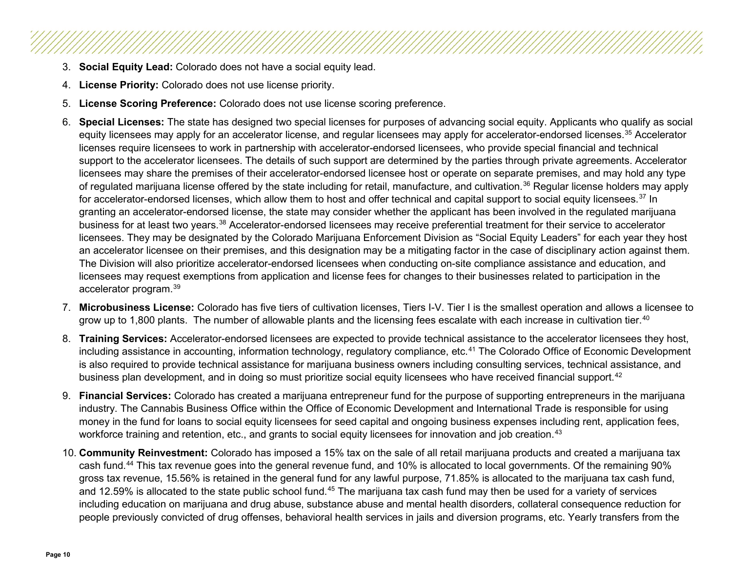- 3. **Social Equity Lead:** Colorado does not have a social equity lead.
- 4. **License Priority:** Colorado does not use license priority.
- 5. **License Scoring Preference:** Colorado does not use license scoring preference.
- 6. **Special Licenses:** The state has designed two special licenses for purposes of advancing social equity. Applicants who qualify as social equity licensees may apply for an accelerator license, and regular licensees may apply for accelerator-endorsed licenses.<sup>[35](#page-35-7)</sup> Accelerator licenses require licensees to work in partnership with accelerator-endorsed licensees, who provide special financial and technical support to the accelerator licensees. The details of such support are determined by the parties through private agreements. Accelerator licensees may share the premises of their accelerator-endorsed licensee host or operate on separate premises, and may hold any type of regulated marijuana license offered by the state including for retail, manufacture, and cultivation.<sup>[36](#page-35-8)</sup> Regular license holders may apply for accelerator-endorsed licenses, which allow them to host and offer technical and capital support to social equity licensees.<sup>[37](#page-35-9)</sup> In granting an accelerator-endorsed license, the state may consider whether the applicant has been involved in the regulated marijuana business for at least two years.[38](#page-35-10) Accelerator-endorsed licensees may receive preferential treatment for their service to accelerator licensees. They may be designated by the Colorado Marijuana Enforcement Division as "Social Equity Leaders" for each year they host an accelerator licensee on their premises, and this designation may be a mitigating factor in the case of disciplinary action against them. The Division will also prioritize accelerator-endorsed licensees when conducting on-site compliance assistance and education, and licensees may request exemptions from application and license fees for changes to their businesses related to participation in the accelerator program.[39](#page-35-11)
- 7. **Microbusiness License:** Colorado has five tiers of cultivation licenses, Tiers I-V. Tier I is the smallest operation and allows a licensee to grow up to 1,800 plants. The number of allowable plants and the licensing fees escalate with each increase in cultivation tier.<sup>[40](#page-35-12)</sup>
- 8. **Training Services:** Accelerator-endorsed licensees are expected to provide technical assistance to the accelerator licensees they host, including assistance in accounting, information technology, regulatory compliance, etc.<sup>[41](#page-35-13)</sup> The Colorado Office of Economic Development is also required to provide technical assistance for marijuana business owners including consulting services, technical assistance, and business plan development, and in doing so must prioritize social equity licensees who have received financial support.<sup>[42](#page-35-14)</sup>
- 9. **Financial Services:** Colorado has created a marijuana entrepreneur fund for the purpose of supporting entrepreneurs in the marijuana industry. The Cannabis Business Office within the Office of Economic Development and International Trade is responsible for using money in the fund for loans to social equity licensees for seed capital and ongoing business expenses including rent, application fees, workforce training and retention, etc., and grants to social equity licensees for innovation and job creation.<sup>[43](#page-35-15)</sup>
- 10. **Community Reinvestment:** Colorado has imposed a 15% tax on the sale of all retail marijuana products and created a marijuana tax cash fund.[44](#page-35-16) This tax revenue goes into the general revenue fund, and 10% is allocated to local governments. Of the remaining 90% gross tax revenue, 15.56% is retained in the general fund for any lawful purpose, 71.85% is allocated to the marijuana tax cash fund, and 12.59% is allocated to the state public school fund.<sup>[45](#page-35-17)</sup> The marijuana tax cash fund may then be used for a variety of services including education on marijuana and drug abuse, substance abuse and mental health disorders, collateral consequence reduction for people previously convicted of drug offenses, behavioral health services in jails and diversion programs, etc. Yearly transfers from the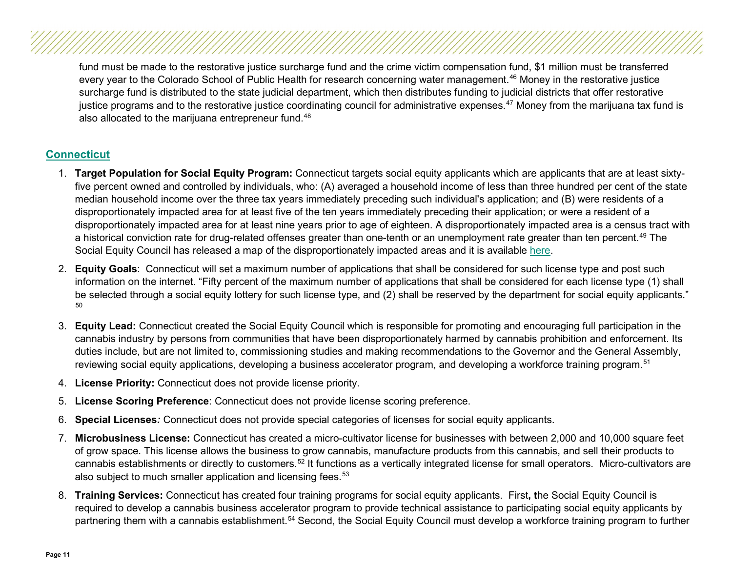fund must be made to the restorative justice surcharge fund and the crime victim compensation fund, \$1 million must be transferred every year to the Colorado School of Public Health for research concerning water management.<sup>[46](#page-35-18)</sup> Money in the restorative justice surcharge fund is distributed to the state judicial department, which then distributes funding to judicial districts that offer restorative justice programs and to the restorative justice coordinating council for administrative expenses.<sup>[47](#page-35-19)</sup> Money from the marijuana tax fund is also allocated to the marijuana entrepreneur fund.<sup>[48](#page-35-20)</sup>

#### <span id="page-10-0"></span>**[Connecticut](#page-2-4)**

- 1. **Target Population for Social Equity Program:** Connecticut targets social equity applicants which are applicants that are at least sixtyfive percent owned and controlled by individuals, who: (A) averaged a household income of less than three hundred per cent of the state median household income over the three tax years immediately preceding such individual's application; and (B) were residents of a disproportionately impacted area for at least five of the ten years immediately preceding their application; or were a resident of a disproportionately impacted area for at least nine years prior to age of eighteen. A disproportionately impacted area is a census tract with a historical conviction rate for drug-related offenses greater than one-tenth or an unemployment rate greater than ten percent.<sup>[49](#page-35-21)</sup> The Social Equity Council has released a map of the disproportionately impacted areas and it is available [here.](https://data.ct.gov/stories/s/Disproportionately-Impacted-Areas-Identified-for-P/8nin-pkqb/)
- 2. **Equity Goals**: Connecticut will set a maximum number of applications that shall be considered for such license type and post such information on the internet. "Fifty percent of the maximum number of applications that shall be considered for each license type (1) shall be selected through a social equity lottery for such license type, and (2) shall be reserved by the department for social equity applicants." [50](#page-35-22)
- 3. **Equity Lead:** Connecticut created the Social Equity Council which is responsible for promoting and encouraging full participation in the cannabis industry by persons from communities that have been disproportionately harmed by cannabis prohibition and enforcement. Its duties include, but are not limited to, commissioning studies and making recommendations to the Governor and the General Assembly, reviewing social equity applications, developing a business accelerator program, and developing a workforce training program.<sup>[51](#page-35-23)</sup>
- 4. **License Priority:** Connecticut does not provide license priority.
- 5. **License Scoring Preference**: Connecticut does not provide license scoring preference.
- 6. **Special Licenses***:* Connecticut does not provide special categories of licenses for social equity applicants.
- 7. **Microbusiness License:** Connecticut has created a micro-cultivator license for businesses with between 2,000 and 10,000 square feet of grow space. This license allows the business to grow cannabis, manufacture products from this cannabis, and sell their products to cannabis establishments or directly to customers.<sup>[52](#page-35-24)</sup> It functions as a vertically integrated license for small operators. Micro-cultivators are also subject to much smaller application and licensing fees.<sup>[53](#page-35-25)</sup>
- 8. **Training Services:** Connecticut has created four training programs for social equity applicants. First**, t**he Social Equity Council is required to develop a cannabis business accelerator program to provide technical assistance to participating social equity applicants by partnering them with a cannabis establishment.<sup>[54](#page-35-26)</sup> Second, the Social Equity Council must develop a workforce training program to further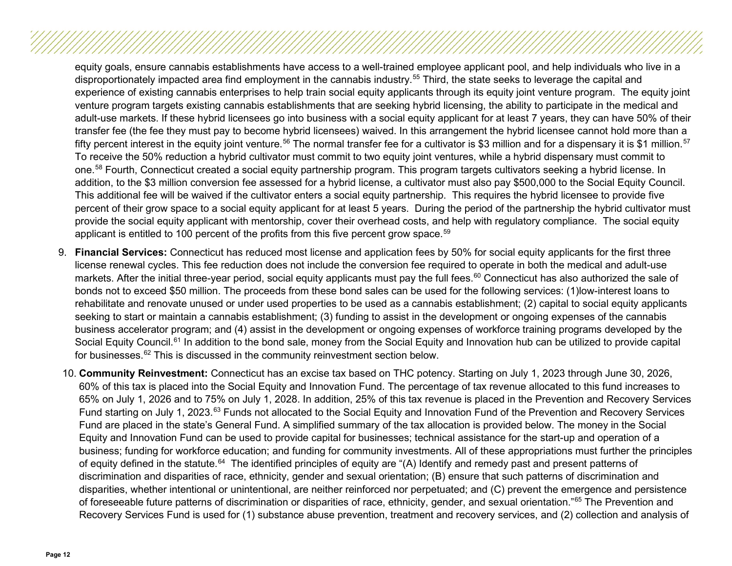equity goals, ensure cannabis establishments have access to a well-trained employee applicant pool, and help individuals who live in a disproportionately impacted area find employment in the cannabis industry.<sup>[55](#page-35-27)</sup> Third, the state seeks to leverage the capital and experience of existing cannabis enterprises to help train social equity applicants through its equity joint venture program. The equity joint venture program targets existing cannabis establishments that are seeking hybrid licensing, the ability to participate in the medical and adult-use markets. If these hybrid licensees go into business with a social equity applicant for at least 7 years, they can have 50% of their transfer fee (the fee they must pay to become hybrid licensees) waived. In this arrangement the hybrid licensee cannot hold more than a fifty percent interest in the equity joint venture.<sup>[56](#page-35-28)</sup> The normal transfer fee for a cultivator is \$3 million and for a dispensary it is \$1 million.<sup>[57](#page-36-0)</sup> To receive the 50% reduction a hybrid cultivator must commit to two equity joint ventures, while a hybrid dispensary must commit to one.<sup>[58](#page-36-1)</sup> Fourth, Connecticut created a social equity partnership program. This program targets cultivators seeking a hybrid license. In addition, to the \$3 million conversion fee assessed for a hybrid license, a cultivator must also pay \$500,000 to the Social Equity Council. This additional fee will be waived if the cultivator enters a social equity partnership. This requires the hybrid licensee to provide five percent of their grow space to a social equity applicant for at least 5 years. During the period of the partnership the hybrid cultivator must provide the social equity applicant with mentorship, cover their overhead costs, and help with regulatory compliance. The social equity applicant is entitled to 100 percent of the profits from this five percent grow space.<sup>[59](#page-36-2)</sup>

- 9. **Financial Services:** Connecticut has reduced most license and application fees by 50% for social equity applicants for the first three license renewal cycles. This fee reduction does not include the conversion fee required to operate in both the medical and adult-use markets. After the initial three-year period, social equity applicants must pay the full fees.<sup>[60](#page-36-3)</sup> Connecticut has also authorized the sale of bonds not to exceed \$50 million. The proceeds from these bond sales can be used for the following services: (1)low-interest loans to rehabilitate and renovate unused or under used properties to be used as a cannabis establishment; (2) capital to social equity applicants seeking to start or maintain a cannabis establishment; (3) funding to assist in the development or ongoing expenses of the cannabis business accelerator program; and (4) assist in the development or ongoing expenses of workforce training programs developed by the Social Equity Council.<sup>[61](#page-36-4)</sup> In addition to the bond sale, money from the Social Equity and Innovation hub can be utilized to provide capital for businesses.[62](#page-36-5) This is discussed in the community reinvestment section below.
- 10. **Community Reinvestment:** Connecticut has an excise tax based on THC potency. Starting on July 1, 2023 through June 30, 2026, 60% of this tax is placed into the Social Equity and Innovation Fund. The percentage of tax revenue allocated to this fund increases to 65% on July 1, 2026 and to 75% on July 1, 2028. In addition, 25% of this tax revenue is placed in the Prevention and Recovery Services Fund starting on July 1, 2023.<sup>[63](#page-36-6)</sup> Funds not allocated to the Social Equity and Innovation Fund of the Prevention and Recovery Services Fund are placed in the state's General Fund. A simplified summary of the tax allocation is provided below. The money in the Social Equity and Innovation Fund can be used to provide capital for businesses; technical assistance for the start-up and operation of a business; funding for workforce education; and funding for community investments. All of these appropriations must further the principles of equity defined in the statute.[64](#page-36-7) The identified principles of equity are "(A) Identify and remedy past and present patterns of discrimination and disparities of race, ethnicity, gender and sexual orientation; (B) ensure that such patterns of discrimination and disparities, whether intentional or unintentional, are neither reinforced nor perpetuated; and (C) prevent the emergence and persistence of foreseeable future patterns of discrimination or disparities of race, ethnicity, gender, and sexual orientation."[65](#page-36-8) The Prevention and Recovery Services Fund is used for (1) substance abuse prevention, treatment and recovery services, and (2) collection and analysis of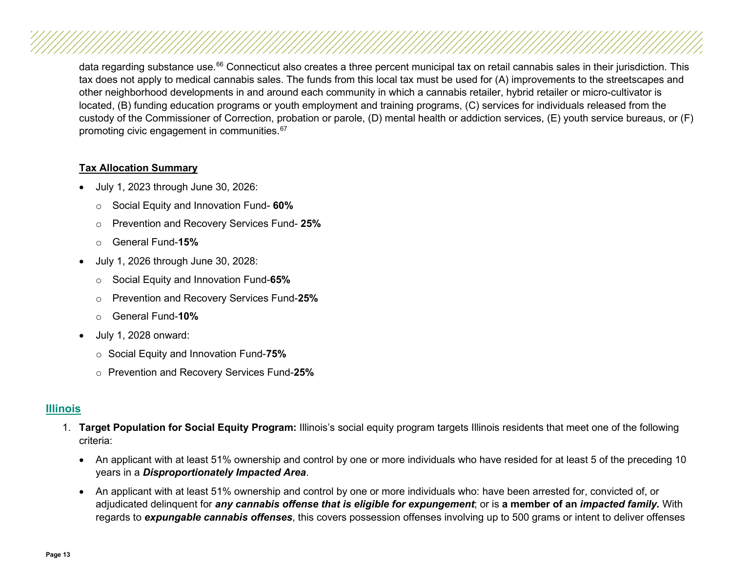data regarding substance use.<sup>[66](#page-36-9)</sup> Connecticut also creates a three percent municipal tax on retail cannabis sales in their jurisdiction. This tax does not apply to medical cannabis sales. The funds from this local tax must be used for (A) improvements to the streetscapes and other neighborhood developments in and around each community in which a cannabis retailer, hybrid retailer or micro-cultivator is located, (B) funding education programs or youth employment and training programs, (C) services for individuals released from the custody of the Commissioner of Correction, probation or parole, (D) mental health or addiction services, (E) youth service bureaus, or (F) promoting civic engagement in communities.<sup>[67](#page-36-10)</sup>

#### **Tax Allocation Summary**

- July 1, 2023 through June 30, 2026:
	- o Social Equity and Innovation Fund- **60%**
	- o Prevention and Recovery Services Fund- **25%**
	- o General Fund-**15%**
- July 1, 2026 through June 30, 2028:
	- o Social Equity and Innovation Fund-**65%**
	- o Prevention and Recovery Services Fund-**25%**
	- o General Fund-**10%**
- July 1, 2028 onward:
	- o Social Equity and Innovation Fund-**75%**
	- o Prevention and Recovery Services Fund-**25%**

#### <span id="page-12-0"></span>**[Illinois](#page-2-5)**

- 1. **Target Population for Social Equity Program:** Illinois's social equity program targets Illinois residents that meet one of the following criteria:
	- An applicant with at least 51% ownership and control by one or more individuals who have resided for at least 5 of the preceding 10 years in a *Disproportionately Impacted Area*.
	- An applicant with at least 51% ownership and control by one or more individuals who: have been arrested for, convicted of, or adjudicated delinquent for *any cannabis offense that is eligible for expungement*; or is **a member of an** *impacted family.* With regards to *expungable cannabis offenses*, this covers possession offenses involving up to 500 grams or intent to deliver offenses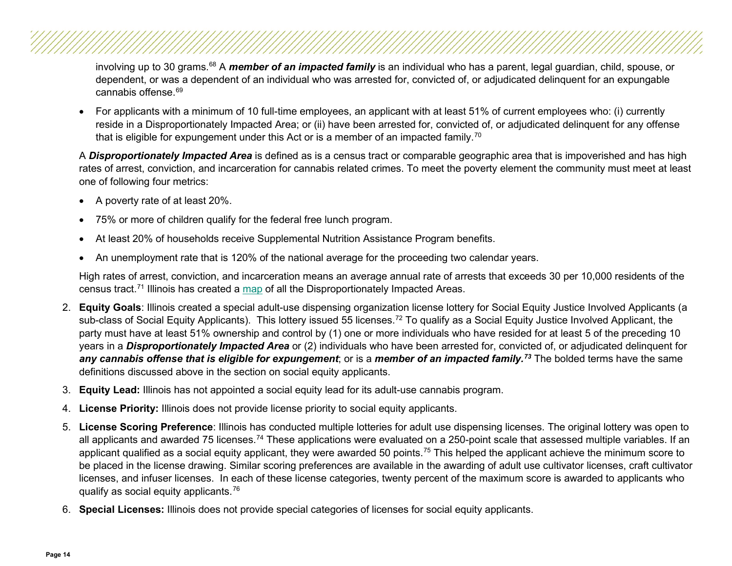involving up to 30 grams.<sup>[68](#page-36-11)</sup> A *member of an impacted family* is an individual who has a parent, legal guardian, child, spouse, or dependent, or was a dependent of an individual who was arrested for, convicted of, or adjudicated delinquent for an expungable cannabis offense.<sup>[69](#page-36-12)</sup>

• For applicants with a minimum of 10 full-time employees, an applicant with at least 51% of current employees who: (i) currently reside in a Disproportionately Impacted Area; or (ii) have been arrested for, convicted of, or adjudicated delinquent for any offense that is eligible for expungement under this Act or is a member of an impacted family.<sup>[70](#page-36-13)</sup>

A *Disproportionately Impacted Area* is defined as is a census tract or comparable geographic area that is impoverished and has high rates of arrest, conviction, and incarceration for cannabis related crimes. To meet the poverty element the community must meet at least one of following four metrics:

- A poverty rate of at least 20%.
- 75% or more of children qualify for the federal free lunch program.
- At least 20% of households receive Supplemental Nutrition Assistance Program benefits.
- An unemployment rate that is 120% of the national average for the proceeding two calendar years.

High rates of arrest, conviction, and incarceration means an average annual rate of arrests that exceeds 30 per 10,000 residents of the census tract[.71](#page-36-14) Illinois has created a [map](https://www2.illinois.gov/dceo/CannabisEquity/Pages/DisproportionateImpactedAreaMap.aspx) of all the Disproportionately Impacted Areas.

- 2. **Equity Goals**: Illinois created a special adult-use dispensing organization license lottery for Social Equity Justice Involved Applicants (a sub-class of Social Equity Applicants). This lottery issued 55 licenses.<sup>[72](#page-36-15)</sup> To qualify as a Social Equity Justice Involved Applicant, the party must have at least 51% ownership and control by (1) one or more individuals who have resided for at least 5 of the preceding 10 years in a *Disproportionately Impacted Area* or (2) individuals who have been arrested for, convicted of, or adjudicated delinquent for *any cannabis offense that is eligible for expungement*; or is a *member of an impacted family.[73](#page-36-16)* The bolded terms have the same definitions discussed above in the section on social equity applicants.
- 3. **Equity Lead:** Illinois has not appointed a social equity lead for its adult-use cannabis program.
- 4. **License Priority:** Illinois does not provide license priority to social equity applicants.
- 5. **License Scoring Preference**: Illinois has conducted multiple lotteries for adult use dispensing licenses. The original lottery was open to all applicants and awarded 75 licenses.<sup>[74](#page-36-17)</sup> These applications were evaluated on a 250-point scale that assessed multiple variables. If an applicant qualified as a social equity applicant, they were awarded 50 points.<sup>[75](#page-36-18)</sup> This helped the applicant achieve the minimum score to be placed in the license drawing. Similar scoring preferences are available in the awarding of adult use cultivator licenses, craft cultivator licenses, and infuser licenses. In each of these license categories, twenty percent of the maximum score is awarded to applicants who qualify as social equity applicants.[76](#page-36-19)
- 6. **Special Licenses:** Illinois does not provide special categories of licenses for social equity applicants.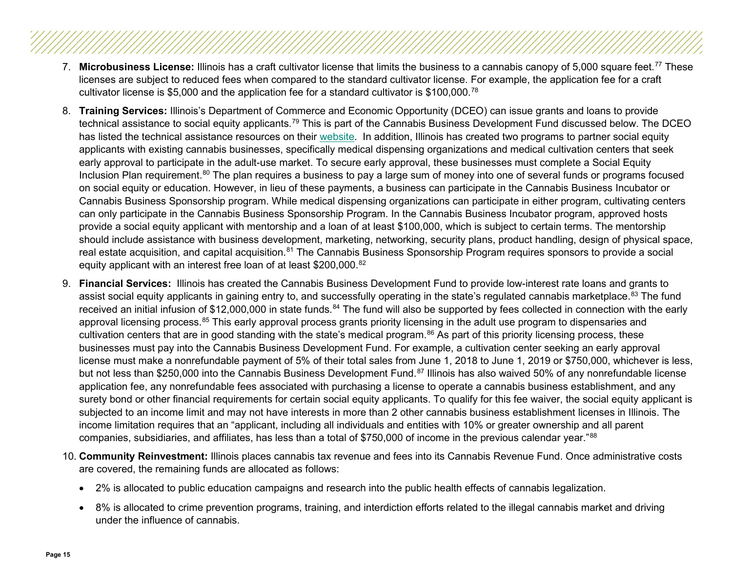- 7. **Microbusiness License:** Illinois has a craft cultivator license that limits the business to a cannabis canopy of 5,000 square feet.[77](#page-36-20) These licenses are subject to reduced fees when compared to the standard cultivator license. For example, the application fee for a craft cultivator license is \$5,000 and the application fee for a standard cultivator is \$100,000.[78](#page-36-21)
- 8. **Training Services:** Illinois's Department of Commerce and Economic Opportunity (DCEO) can issue grants and loans to provide technical assistance to social equity applicants.[79](#page-36-22) This is part of the Cannabis Business Development Fund discussed below. The DCEO has listed the technical assistance resources on their [website.](https://www2.illinois.gov/dceo/CannabisEquity/Pages/TechnicalAssistance.aspx) In addition, Illinois has created two programs to partner social equity applicants with existing cannabis businesses, specifically medical dispensing organizations and medical cultivation centers that seek early approval to participate in the adult-use market. To secure early approval, these businesses must complete a Social Equity Inclusion Plan requirement.<sup>[80](#page-36-23)</sup> The plan requires a business to pay a large sum of money into one of several funds or programs focused on social equity or education. However, in lieu of these payments, a business can participate in the Cannabis Business Incubator or Cannabis Business Sponsorship program. While medical dispensing organizations can participate in either program, cultivating centers can only participate in the Cannabis Business Sponsorship Program. In the Cannabis Business Incubator program, approved hosts provide a social equity applicant with mentorship and a loan of at least \$100,000, which is subject to certain terms. The mentorship should include assistance with business development, marketing, networking, security plans, product handling, design of physical space, real estate acquisition, and capital acquisition.<sup>[81](#page-36-24)</sup> The Cannabis Business Sponsorship Program requires sponsors to provide a social equity applicant with an interest free loan of at least \$200,000.[82](#page-36-25)
- 9. **Financial Services:** Illinois has created the Cannabis Business Development Fund to provide low-interest rate loans and grants to assist social equity applicants in gaining entry to, and successfully operating in the state's regulated cannabis marketplace.<sup>[83](#page-36-26)</sup> The fund received an initial infusion of \$12,000,000 in state funds.<sup>[84](#page-36-27)</sup> The fund will also be supported by fees collected in connection with the early approval licensing process.<sup>[85](#page-37-0)</sup> This early approval process grants priority licensing in the adult use program to dispensaries and cultivation centers that are in good standing with the state's medical program.<sup>[86](#page-37-1)</sup> As part of this priority licensing process, these businesses must pay into the Cannabis Business Development Fund. For example, a cultivation center seeking an early approval license must make a nonrefundable payment of 5% of their total sales from June 1, 2018 to June 1, 2019 or \$750,000, whichever is less, but not less than \$250,000 into the Cannabis Business Development Fund.<sup>[87](#page-37-2)</sup> Illinois has also waived 50% of any nonrefundable license application fee, any nonrefundable fees associated with purchasing a license to operate a cannabis business establishment, and any surety bond or other financial requirements for certain social equity applicants. To qualify for this fee waiver, the social equity applicant is subjected to an income limit and may not have interests in more than 2 other cannabis business establishment licenses in Illinois. The income limitation requires that an "applicant, including all individuals and entities with 10% or greater ownership and all parent companies, subsidiaries, and affiliates, has less than a total of \$750,000 of income in the previous calendar year."[88](#page-37-3)
- 10. **Community Reinvestment:** Illinois places cannabis tax revenue and fees into its Cannabis Revenue Fund. Once administrative costs are covered, the remaining funds are allocated as follows:
	- 2% is allocated to public education campaigns and research into the public health effects of cannabis legalization.
	- 8% is allocated to crime prevention programs, training, and interdiction efforts related to the illegal cannabis market and driving under the influence of cannabis.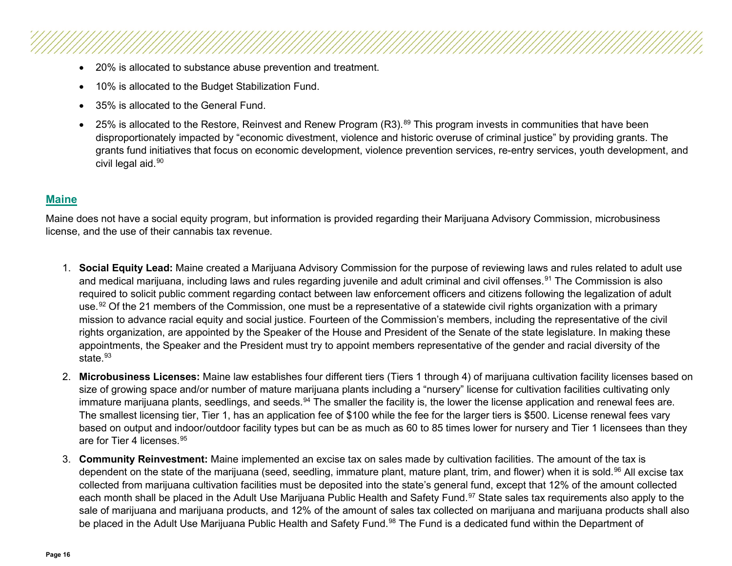- 20% is allocated to substance abuse prevention and treatment.
- 10% is allocated to the Budget Stabilization Fund.
- 35% is allocated to the General Fund.
- 25% is allocated to the Restore, Reinvest and Renew Program (R3).<sup>[89](#page-37-4)</sup> This program invests in communities that have been disproportionately impacted by "economic divestment, violence and historic overuse of criminal justice" by providing grants. The grants fund initiatives that focus on economic development, violence prevention services, re-entry services, youth development, and civil legal aid.<sup>[90](#page-37-5)</sup>

#### <span id="page-15-0"></span>**[Maine](#page-2-6)**

Maine does not have a social equity program, but information is provided regarding their Marijuana Advisory Commission, microbusiness license, and the use of their cannabis tax revenue.

- 1. **Social Equity Lead:** Maine created a Marijuana Advisory Commission for the purpose of reviewing laws and rules related to adult use and medical marijuana, including laws and rules regarding juvenile and adult criminal and civil offenses.<sup>[91](#page-37-6)</sup> The Commission is also required to solicit public comment regarding contact between law enforcement officers and citizens following the legalization of adult use.<sup>[92](#page-37-7)</sup> Of the 21 members of the Commission, one must be a representative of a statewide civil rights organization with a primary mission to advance racial equity and social justice. Fourteen of the Commission's members, including the representative of the civil rights organization, are appointed by the Speaker of the House and President of the Senate of the state legislature. In making these appointments, the Speaker and the President must try to appoint members representative of the gender and racial diversity of the state  $93$
- 2. **Microbusiness Licenses:** Maine law establishes four different tiers (Tiers 1 through 4) of marijuana cultivation facility licenses based on size of growing space and/or number of mature marijuana plants including a "nursery" license for cultivation facilities cultivating only immature marijuana plants, seedlings, and seeds.<sup>[94](#page-37-9)</sup> The smaller the facility is, the lower the license application and renewal fees are. The smallest licensing tier, Tier 1, has an application fee of \$100 while the fee for the larger tiers is \$500. License renewal fees vary based on output and indoor/outdoor facility types but can be as much as 60 to 85 times lower for nursery and Tier 1 licensees than they are for Tier 4 licenses.<sup>[95](#page-37-10)</sup>
- 3. **Community Reinvestment:** Maine implemented an excise tax on sales made by cultivation facilities. The amount of the tax is dependent on the state of the marijuana (seed, seedling, immature plant, mature plant, trim, and flower) when it is sold.<sup>[96](#page-37-11)</sup> All excise tax collected from marijuana cultivation facilities must be deposited into the state's general fund, except that 12% of the amount collected each month shall be placed in the Adult Use Marijuana Public Health and Safety Fund.<sup>[97](#page-37-12)</sup> State sales tax requirements also apply to the sale of marijuana and marijuana products, and 12% of the amount of sales tax collected on marijuana and marijuana products shall also be placed in the Adult Use Marijuana Public Health and Safety Fund.<sup>[98](#page-37-13)</sup> The Fund is a dedicated fund within the Department of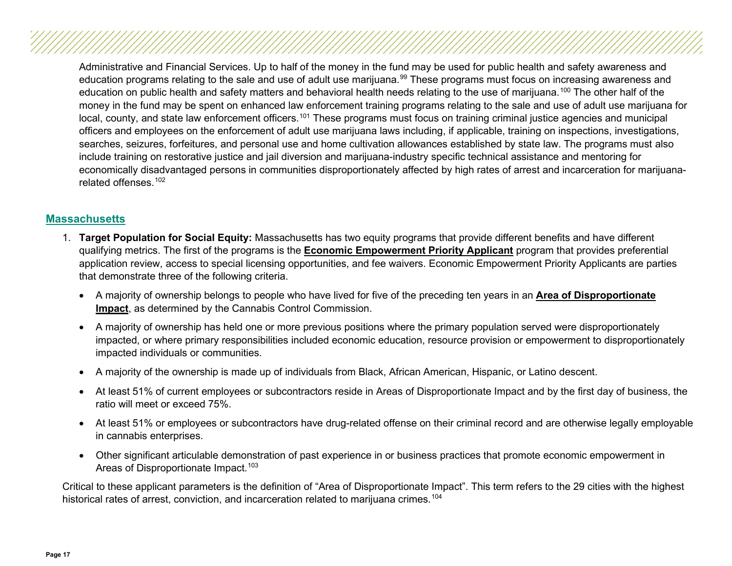Administrative and Financial Services. Up to half of the money in the fund may be used for public health and safety awareness and education programs relating to the sale and use of adult use marijuana.<sup>[99](#page-37-14)</sup> These programs must focus on increasing awareness and education on public health and safety matters and behavioral health needs relating to the use of marijuana.<sup>[100](#page-37-15)</sup> The other half of the money in the fund may be spent on enhanced law enforcement training programs relating to the sale and use of adult use marijuana for local, county, and state law enforcement officers.<sup>[101](#page-37-16)</sup> These programs must focus on training criminal justice agencies and municipal officers and employees on the enforcement of adult use marijuana laws including, if applicable, training on inspections, investigations, searches, seizures, forfeitures, and personal use and home cultivation allowances established by state law. The programs must also include training on restorative justice and jail diversion and marijuana-industry specific technical assistance and mentoring for economically disadvantaged persons in communities disproportionately affected by high rates of arrest and incarceration for marijuanarelated offenses.[102](#page-37-17)

#### <span id="page-16-0"></span>**[Massachusetts](#page-2-7)**

- 1. **Target Population for Social Equity:** Massachusetts has two equity programs that provide different benefits and have different qualifying metrics. The first of the programs is the **Economic Empowerment Priority Applicant** program that provides preferential application review, access to special licensing opportunities, and fee waivers. Economic Empowerment Priority Applicants are parties that demonstrate three of the following criteria.
	- A majority of ownership belongs to people who have lived for five of the preceding ten years in an **Area of Disproportionate Impact**, as determined by the Cannabis Control Commission.
	- A majority of ownership has held one or more previous positions where the primary population served were disproportionately impacted, or where primary responsibilities included economic education, resource provision or empowerment to disproportionately impacted individuals or communities.
	- A majority of the ownership is made up of individuals from Black, African American, Hispanic, or Latino descent.
	- At least 51% of current employees or subcontractors reside in Areas of Disproportionate Impact and by the first day of business, the ratio will meet or exceed 75%.
	- At least 51% or employees or subcontractors have drug-related offense on their criminal record and are otherwise legally employable in cannabis enterprises.
	- Other significant articulable demonstration of past experience in or business practices that promote economic empowerment in Areas of Disproportionate Impact.<sup>[103](#page-37-18)</sup>

Critical to these applicant parameters is the definition of "Area of Disproportionate Impact". This term refers to the 29 cities with the highest historical rates of arrest, conviction, and incarceration related to marijuana crimes.<sup>[104](#page-37-19)</sup>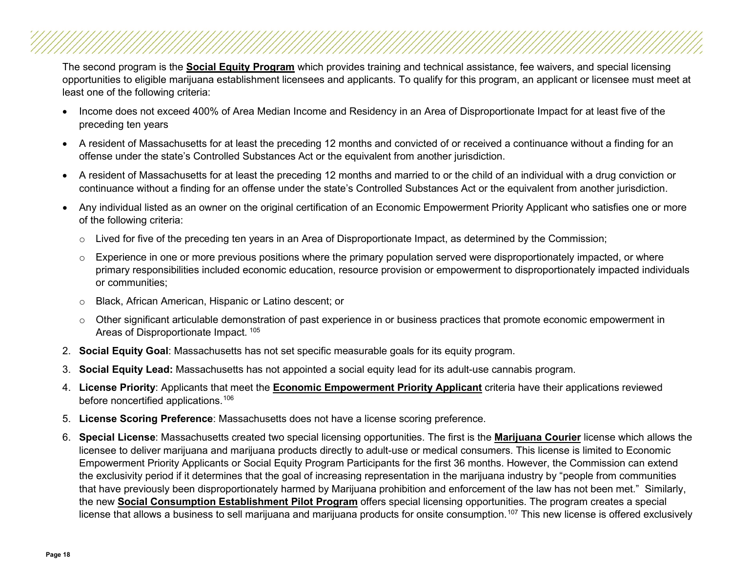The second program is the **Social Equity Program** which provides training and technical assistance, fee waivers, and special licensing opportunities to eligible marijuana establishment licensees and applicants. To qualify for this program, an applicant or licensee must meet at least one of the following criteria:

- Income does not exceed 400% of Area Median Income and Residency in an Area of Disproportionate Impact for at least five of the preceding ten years
- A resident of Massachusetts for at least the preceding 12 months and convicted of or received a continuance without a finding for an offense under the state's Controlled Substances Act or the equivalent from another jurisdiction.
- A resident of Massachusetts for at least the preceding 12 months and married to or the child of an individual with a drug conviction or continuance without a finding for an offense under the state's Controlled Substances Act or the equivalent from another jurisdiction.
- Any individual listed as an owner on the original certification of an Economic Empowerment Priority Applicant who satisfies one or more of the following criteria:
	- $\circ$  Lived for five of the preceding ten years in an Area of Disproportionate Impact, as determined by the Commission;
	- $\circ$  Experience in one or more previous positions where the primary population served were disproportionately impacted, or where primary responsibilities included economic education, resource provision or empowerment to disproportionately impacted individuals or communities;
	- o Black, African American, Hispanic or Latino descent; or
	- $\circ$  Other significant articulable demonstration of past experience in or business practices that promote economic empowerment in Areas of Disproportionate Impact. [105](#page-37-20)
- 2. **Social Equity Goal**: Massachusetts has not set specific measurable goals for its equity program.
- 3. **Social Equity Lead:** Massachusetts has not appointed a social equity lead for its adult-use cannabis program.
- 4. **License Priority**: Applicants that meet the **Economic Empowerment Priority Applicant** criteria have their applications reviewed before noncertified applications.[106](#page-37-21)
- 5. **License Scoring Preference**: Massachusetts does not have a license scoring preference.
- 6. **Special License**: Massachusetts created two special licensing opportunities. The first is the **Marijuana Courier** license which allows the licensee to deliver marijuana and marijuana products directly to adult-use or medical consumers. This license is limited to Economic Empowerment Priority Applicants or Social Equity Program Participants for the first 36 months. However, the Commission can extend the exclusivity period if it determines that the goal of increasing representation in the marijuana industry by "people from communities that have previously been disproportionately harmed by Marijuana prohibition and enforcement of the law has not been met." Similarly, the new **Social Consumption Establishment Pilot Program** offers special licensing opportunities. The program creates a special license that allows a business to sell marijuana and marijuana products for onsite consumption.<sup>[107](#page-37-22)</sup> This new license is offered exclusively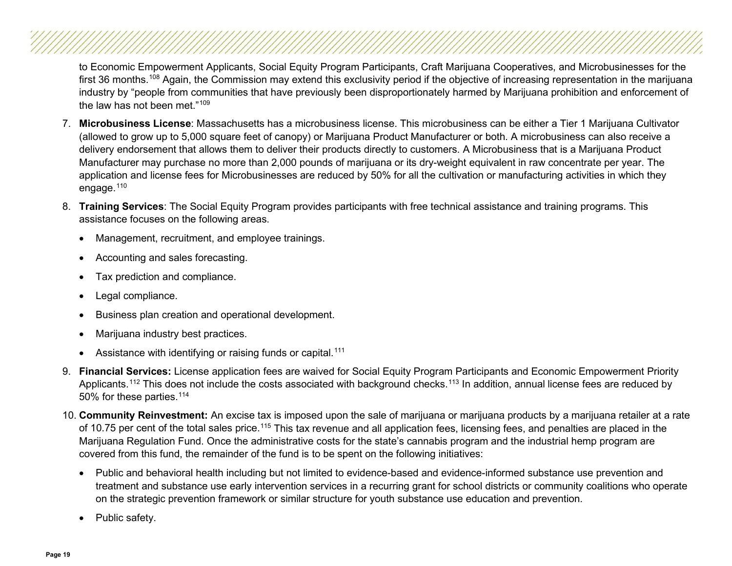to Economic Empowerment Applicants, Social Equity Program Participants, Craft Marijuana Cooperatives, and Microbusinesses for the first 36 months.<sup>[108](#page-37-23)</sup> Again, the Commission may extend this exclusivity period if the objective of increasing representation in the marijuana industry by "people from communities that have previously been disproportionately harmed by Marijuana prohibition and enforcement of the law has not been met."[109](#page-37-24)

- 7. **Microbusiness License**: Massachusetts has a microbusiness license. This microbusiness can be either a Tier 1 Marijuana Cultivator (allowed to grow up to 5,000 square feet of canopy) or Marijuana Product Manufacturer or both. A microbusiness can also receive a delivery endorsement that allows them to deliver their products directly to customers. A Microbusiness that is a Marijuana Product Manufacturer may purchase no more than 2,000 pounds of marijuana or its dry-weight equivalent in raw concentrate per year. The application and license fees for Microbusinesses are reduced by 50% for all the cultivation or manufacturing activities in which they engage.<sup>[110](#page-37-25)</sup>
- 8. **Training Services**: The Social Equity Program provides participants with free technical assistance and training programs. This assistance focuses on the following areas.
	- Management, recruitment, and employee trainings.
	- Accounting and sales forecasting.
	- Tax prediction and compliance.
	- Legal compliance.
	- Business plan creation and operational development.
	- Marijuana industry best practices.
	- Assistance with identifying or raising funds or capital.<sup>[111](#page-37-26)</sup>
- 9. **Financial Services:** License application fees are waived for Social Equity Program Participants and Economic Empowerment Priority Applicants.<sup>[112](#page-38-0)</sup> This does not include the costs associated with background checks.<sup>[113](#page-38-1)</sup> In addition, annual license fees are reduced by 50% for these parties.<sup>[114](#page-38-2)</sup>
- 10. **Community Reinvestment:** An excise tax is imposed upon the sale of marijuana or marijuana products by a marijuana retailer at a rate of 10.75 per cent of the total sales price.<sup>[115](#page-38-3)</sup> This tax revenue and all application fees, licensing fees, and penalties are placed in the Marijuana Regulation Fund. Once the administrative costs for the state's cannabis program and the industrial hemp program are covered from this fund, the remainder of the fund is to be spent on the following initiatives:
	- Public and behavioral health including but not limited to evidence-based and evidence-informed substance use prevention and treatment and substance use early intervention services in a recurring grant for school districts or community coalitions who operate on the strategic prevention framework or similar structure for youth substance use education and prevention.
	- Public safety.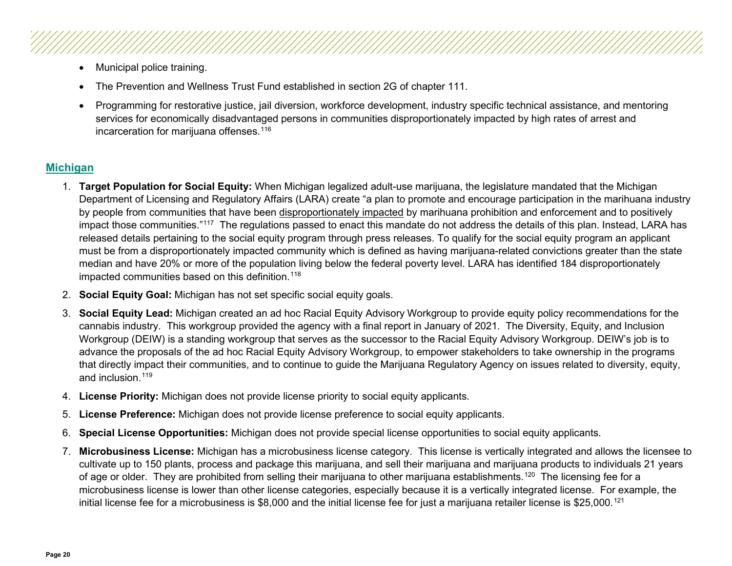- Municipal police training.
- The Prevention and Wellness Trust Fund established in section 2G of chapter 111.
- Programming for restorative justice, jail diversion, workforce development, industry specific technical assistance, and mentoring services for economically disadvantaged persons in communities disproportionately impacted by high rates of arrest and incarceration for marijuana offenses. [116](#page-38-4)

### <span id="page-19-0"></span>**[Michigan](#page-2-8)**

- 1. **Target Population for Social Equity:** When Michigan legalized adult-use marijuana, the legislature mandated that the Michigan Department of Licensing and Regulatory Affairs (LARA) create "a plan to promote and encourage participation in the marihuana industry by people from communities that have been disproportionately impacted by marihuana prohibition and enforcement and to positively impact those communities."<sup>[117](#page-38-5)</sup> The regulations passed to enact this mandate do not address the details of this plan. Instead, LARA has released details pertaining to the social equity program through press releases. To qualify for the social equity program an applicant must be from a disproportionately impacted community which is defined as having marijuana-related convictions greater than the state median and have 20% or more of the population living below the federal poverty level. LARA has identified 184 disproportionately impacted communities based on this definition.<sup>[118](#page-38-6)</sup>
- 2. **Social Equity Goal:** Michigan has not set specific social equity goals.
- 3. **Social Equity Lead:** Michigan created an ad hoc Racial Equity Advisory Workgroup to provide equity policy recommendations for the cannabis industry. This workgroup provided the agency with a final report in January of 2021. The Diversity, Equity, and Inclusion Workgroup (DEIW) is a standing workgroup that serves as the successor to the Racial Equity Advisory Workgroup. DEIW's job is to advance the proposals of the ad hoc Racial Equity Advisory Workgroup, to empower stakeholders to take ownership in the programs that directly impact their communities, and to continue to guide the Marijuana Regulatory Agency on issues related to diversity, equity, and inclusion.<sup>[119](#page-38-7)</sup>
- 4. **License Priority:** Michigan does not provide license priority to social equity applicants.
- 5. **License Preference:** Michigan does not provide license preference to social equity applicants.
- 6. **Special License Opportunities:** Michigan does not provide special license opportunities to social equity applicants.
- 7. **Microbusiness License:** Michigan has a microbusiness license category. This license is vertically integrated and allows the licensee to cultivate up to 150 plants, process and package this marijuana, and sell their marijuana and marijuana products to individuals 21 years of age or older. They are prohibited from selling their marijuana to other marijuana establishments.<sup>120</sup> The licensing fee for a microbusiness license is lower than other license categories, especially because it is a vertically integrated license. For example, the initial license fee for a microbusiness is \$8,000 and the initial license fee for just a marijuana retailer license is \$25,000.<sup>[121](#page-38-9)</sup>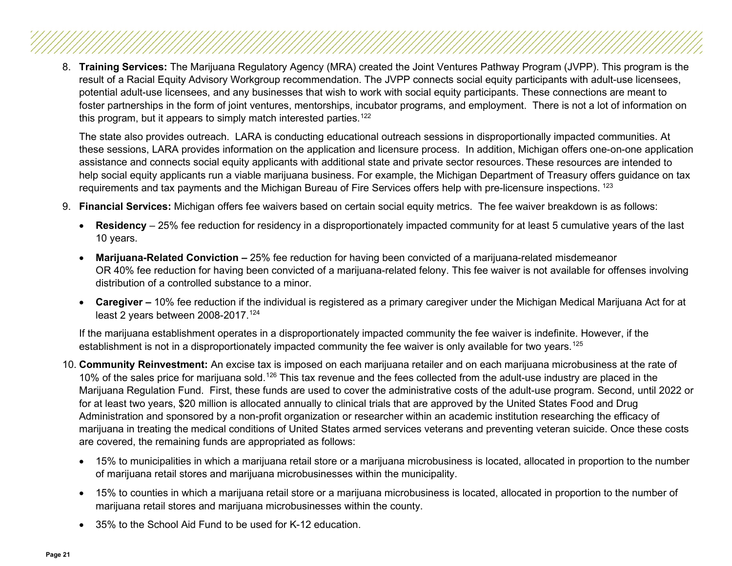8. **Training Services:** The Marijuana Regulatory Agency (MRA) created the Joint Ventures Pathway Program (JVPP). This program is the result of a Racial Equity Advisory Workgroup recommendation. The JVPP connects social equity participants with adult-use licensees, potential adult-use licensees, and any businesses that wish to work with social equity participants. These connections are meant to foster partnerships in the form of joint ventures, mentorships, incubator programs, and employment. There is not a lot of information on this program, but it appears to simply match interested parties.<sup>[122](#page-38-10)</sup>

The state also provides outreach. LARA is conducting educational outreach sessions in disproportionally impacted communities. At these sessions, LARA provides information on the application and licensure process. In addition, Michigan offers one-on-one application assistance and connects social equity applicants with additional state and private sector resources. These resources are intended to help social equity applicants run a viable marijuana business. For example, the Michigan Department of Treasury offers guidance on tax requirements and tax payments and the Michigan Bureau of Fire Services offers help with pre-licensure inspections. [123](#page-38-11)

- 9. **Financial Services:** Michigan offers fee waivers based on certain social equity metrics. The fee waiver breakdown is as follows:
	- Residency 25% fee reduction for residency in a disproportionately impacted community for at least 5 cumulative years of the last 10 years.
	- **Marijuana-Related Conviction –** 25% fee reduction for having been convicted of a marijuana-related misdemeanor OR 40% fee reduction for having been convicted of a marijuana-related felony. This fee waiver is not available for offenses involving distribution of a controlled substance to a minor.
	- **Caregiver –** 10% fee reduction if the individual is registered as a primary caregiver under the Michigan Medical Marijuana Act for at least 2 years between 2008-2017.<sup>[124](#page-38-12)</sup>

If the marijuana establishment operates in a disproportionately impacted community the fee waiver is indefinite. However, if the establishment is not in a disproportionately impacted community the fee waiver is only available for two years.<sup>[125](#page-38-13)</sup>

- 10. **Community Reinvestment:** An excise tax is imposed on each marijuana retailer and on each marijuana microbusiness at the rate of 10% of the sales price for marijuana sold.<sup>[126](#page-38-14)</sup> This tax revenue and the fees collected from the adult-use industry are placed in the Marijuana Regulation Fund. First, these funds are used to cover the administrative costs of the adult-use program. Second, until 2022 or for at least two years, \$20 million is allocated annually to clinical trials that are approved by the United States Food and Drug Administration and sponsored by a non-profit organization or researcher within an academic institution researching the efficacy of marijuana in treating the medical conditions of United States armed services veterans and preventing veteran suicide. Once these costs are covered, the remaining funds are appropriated as follows:
	- 15% to municipalities in which a marijuana retail store or a marijuana microbusiness is located, allocated in proportion to the number of marijuana retail stores and marijuana microbusinesses within the municipality.
	- 15% to counties in which a marijuana retail store or a marijuana microbusiness is located, allocated in proportion to the number of marijuana retail stores and marijuana microbusinesses within the county.
	- 35% to the School Aid Fund to be used for K-12 education.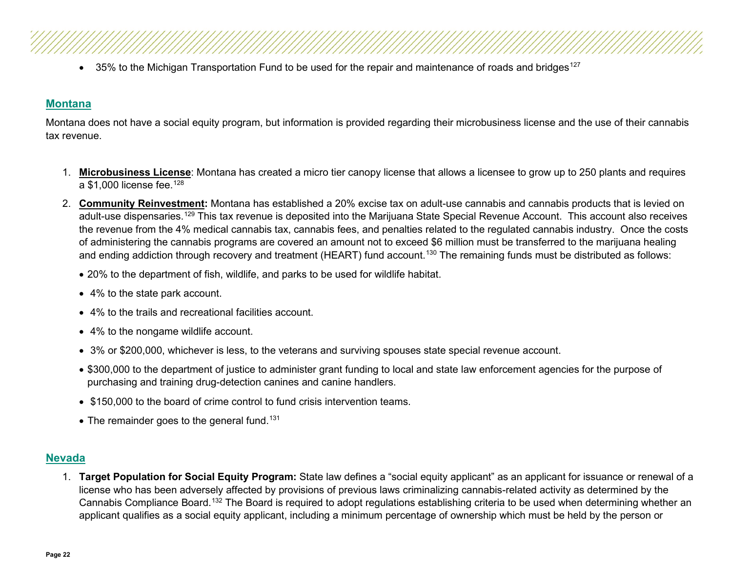• 35% to the Michigan Transportation Fund to be used for the repair and maintenance of roads and bridges<sup>[127](#page-38-15)</sup>

#### <span id="page-21-0"></span>**[Montana](#page-2-9)**

Montana does not have a social equity program, but information is provided regarding their microbusiness license and the use of their cannabis tax revenue.

- 1. **Microbusiness License**: Montana has created a micro tier canopy license that allows a licensee to grow up to 250 plants and requires a  $$1.000$  license fee.<sup>[128](#page-38-16)</sup>
- 2. **Community Reinvestment:** Montana has established a 20% excise tax on adult-use cannabis and cannabis products that is levied on adult-use dispensaries.<sup>[129](#page-38-17)</sup> This tax revenue is deposited into the Marijuana State Special Revenue Account. This account also receives the revenue from the 4% medical cannabis tax, cannabis fees, and penalties related to the regulated cannabis industry. Once the costs of administering the cannabis programs are covered an amount not to exceed \$6 million must be transferred to the marijuana healing and ending addiction through recovery and treatment (HEART) fund account.<sup>[130](#page-38-18)</sup> The remaining funds must be distributed as follows:
	- 20% to the department of fish, wildlife, and parks to be used for wildlife habitat.
	- 4% to the state park account.
	- 4% to the trails and recreational facilities account.
	- 4% to the nongame wildlife account.
	- 3% or \$200,000, whichever is less, to the veterans and surviving spouses state special revenue account.
	- \$300,000 to the department of justice to administer grant funding to local and state law enforcement agencies for the purpose of purchasing and training drug-detection canines and canine handlers.
	- \$150,000 to the board of crime control to fund crisis intervention teams.
	- $\bullet$  The remainder goes to the general fund.<sup>[131](#page-38-19)</sup>

#### **[Nevada](#page-2-10)**

<span id="page-21-1"></span>1. **Target Population for Social Equity Program:** State law defines a "social equity applicant" as an applicant for issuance or renewal of a license who has been adversely affected by provisions of previous laws criminalizing cannabis-related activity as determined by the Cannabis Compliance Board.[132](#page-38-20) The Board is required to adopt regulations establishing criteria to be used when determining whether an applicant qualifies as a social equity applicant, including a minimum percentage of ownership which must be held by the person or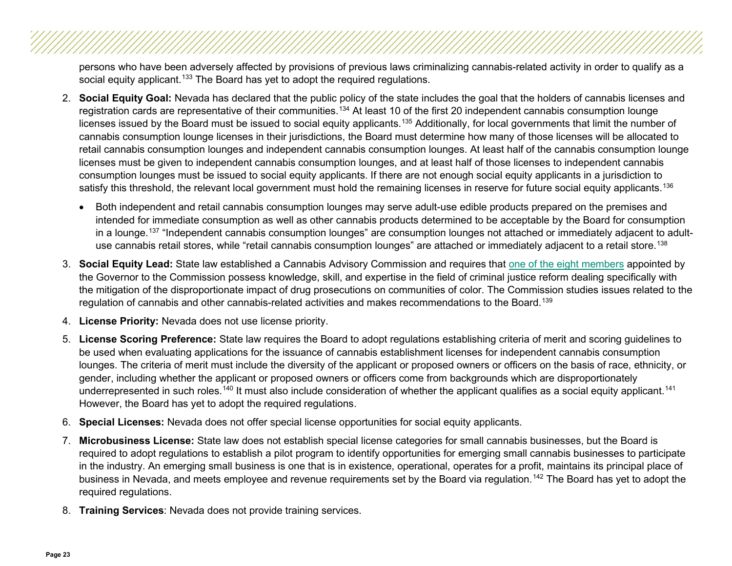persons who have been adversely affected by provisions of previous laws criminalizing cannabis-related activity in order to qualify as a social equity applicant.<sup>[133](#page-38-21)</sup> The Board has yet to adopt the required regulations.

- 2. **Social Equity Goal:** Nevada has declared that the public policy of the state includes the goal that the holders of cannabis licenses and registration cards are representative of their communities.<sup>[134](#page-38-22)</sup> At least 10 of the first 20 independent cannabis consumption lounge licenses issued by the Board must be issued to social equity applicants.<sup>[135](#page-38-23)</sup> Additionally, for local governments that limit the number of cannabis consumption lounge licenses in their jurisdictions, the Board must determine how many of those licenses will be allocated to retail cannabis consumption lounges and independent cannabis consumption lounges. At least half of the cannabis consumption lounge licenses must be given to independent cannabis consumption lounges, and at least half of those licenses to independent cannabis consumption lounges must be issued to social equity applicants. If there are not enough social equity applicants in a jurisdiction to satisfy this threshold, the relevant local government must hold the remaining licenses in reserve for future social equity applicants.<sup>[136](#page-38-24)</sup>
	- Both independent and retail cannabis consumption lounges may serve adult-use edible products prepared on the premises and intended for immediate consumption as well as other cannabis products determined to be acceptable by the Board for consumption in a lounge.<sup>[137](#page-39-0)</sup> "Independent cannabis consumption lounges" are consumption lounges not attached or immediately adjacent to adult-use cannabis retail stores, while "retail cannabis consumption lounges" are attached or immediately adjacent to a retail store.<sup>[138](#page-39-1)</sup>
- 3. **Social Equity Lead:** State law established a Cannabis Advisory Commission and requires that [one of the eight members](https://ccb.nv.gov/meet-the-cannabis-compliance-board-ccb/) appointed by the Governor to the Commission possess knowledge, skill, and expertise in the field of criminal justice reform dealing specifically with the mitigation of the disproportionate impact of drug prosecutions on communities of color. The Commission studies issues related to the regulation of cannabis and other cannabis-related activities and makes recommendations to the Board.<sup>[139](#page-39-2)</sup>
- 4. **License Priority:** Nevada does not use license priority.
- 5. **License Scoring Preference:** State law requires the Board to adopt regulations establishing criteria of merit and scoring guidelines to be used when evaluating applications for the issuance of cannabis establishment licenses for independent cannabis consumption lounges. The criteria of merit must include the diversity of the applicant or proposed owners or officers on the basis of race, ethnicity, or gender, including whether the applicant or proposed owners or officers come from backgrounds which are disproportionately underrepresented in such roles.<sup>[140](#page-39-3)</sup> It must also include consideration of whether the applicant qualifies as a social equity applicant.<sup>[141](#page-39-4)</sup> However, the Board has yet to adopt the required regulations.
- 6. **Special Licenses:** Nevada does not offer special license opportunities for social equity applicants.
- 7. **Microbusiness License:** State law does not establish special license categories for small cannabis businesses, but the Board is required to adopt regulations to establish a pilot program to identify opportunities for emerging small cannabis businesses to participate in the industry. An emerging small business is one that is in existence, operational, operates for a profit, maintains its principal place of business in Nevada, and meets employee and revenue requirements set by the Board via requlation.<sup>[142](#page-39-5)</sup> The Board has yet to adopt the required regulations.
- 8. **Training Services**: Nevada does not provide training services.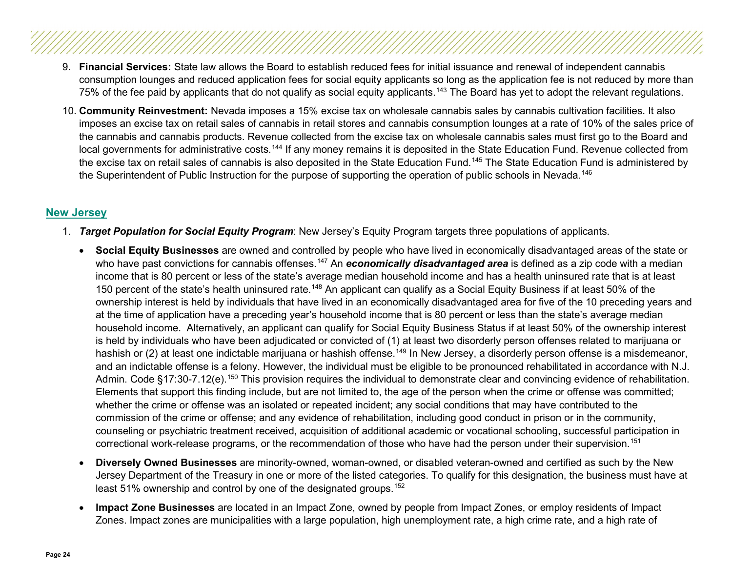- 9. **Financial Services:** State law allows the Board to establish reduced fees for initial issuance and renewal of independent cannabis consumption lounges and reduced application fees for social equity applicants so long as the application fee is not reduced by more than 75% of the fee paid by applicants that do not qualify as social equity applicants.<sup>[143](#page-39-6)</sup> The Board has yet to adopt the relevant regulations.
- 10. **Community Reinvestment:** Nevada imposes a 15% excise tax on wholesale cannabis sales by cannabis cultivation facilities. It also imposes an excise tax on retail sales of cannabis in retail stores and cannabis consumption lounges at a rate of 10% of the sales price of the cannabis and cannabis products. Revenue collected from the excise tax on wholesale cannabis sales must first go to the Board and local governments for administrative costs.<sup>[144](#page-39-7)</sup> If any money remains it is deposited in the State Education Fund. Revenue collected from the excise tax on retail sales of cannabis is also deposited in the State Education Fund.<sup>[145](#page-39-8)</sup> The State Education Fund is administered by the Superintendent of Public Instruction for the purpose of supporting the operation of public schools in Nevada.<sup>[146](#page-39-9)</sup>

#### **[New Jersey](#page-2-11)**

- <span id="page-23-0"></span>1. *Target Population for Social Equity Program*: New Jersey's Equity Program targets three populations of applicants.
	- **Social Equity Businesses** are owned and controlled by people who have lived in economically disadvantaged areas of the state or who have past convictions for cannabis offenses.<sup>[147](#page-39-10)</sup> An *economically disadvantaged area* is defined as a zip code with a median income that is 80 percent or less of the state's average median household income and has a health uninsured rate that is at least 150 percent of the state's health uninsured rate.<sup>[148](#page-39-11)</sup> An applicant can qualify as a Social Equity Business if at least 50% of the ownership interest is held by individuals that have lived in an economically disadvantaged area for five of the 10 preceding years and at the time of application have a preceding year's household income that is 80 percent or less than the state's average median household income. Alternatively, an applicant can qualify for Social Equity Business Status if at least 50% of the ownership interest is held by individuals who have been adjudicated or convicted of (1) at least two disorderly person offenses related to marijuana or hashish or (2) at least one indictable marijuana or hashish offense.<sup>[149](#page-39-12)</sup> In New Jersey, a disorderly person offense is a misdemeanor, and an indictable offense is a felony. However, the individual must be eligible to be pronounced rehabilitated in accordance with N.J. Admin. Code §17:30-7.12(e).<sup>[150](#page-39-13)</sup> This provision requires the individual to demonstrate clear and convincing evidence of rehabilitation. Elements that support this finding include, but are not limited to, the age of the person when the crime or offense was committed; whether the crime or offense was an isolated or repeated incident; any social conditions that may have contributed to the commission of the crime or offense; and any evidence of rehabilitation, including good conduct in prison or in the community, counseling or psychiatric treatment received, acquisition of additional academic or vocational schooling, successful participation in correctional work-release programs, or the recommendation of those who have had the person under their supervision.[151](#page-39-14)
	- **Diversely Owned Businesses** are minority-owned, woman-owned, or disabled veteran-owned and certified as such by the New Jersey Department of the Treasury in one or more of the listed categories. To qualify for this designation, the business must have at least 51% ownership and control by one of the designated groups.<sup>[152](#page-39-15)</sup>
	- **Impact Zone Businesses** are located in an Impact Zone, owned by people from Impact Zones, or employ residents of Impact Zones. Impact zones are municipalities with a large population, high unemployment rate, a high crime rate, and a high rate of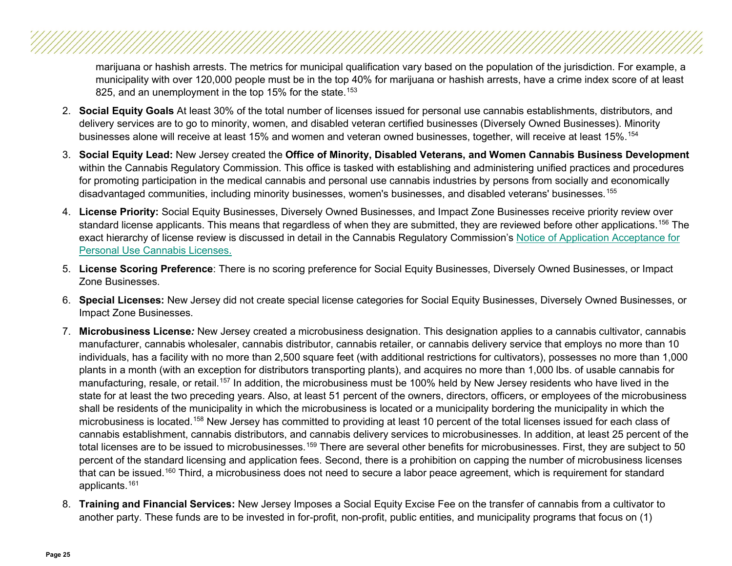marijuana or hashish arrests. The metrics for municipal qualification vary based on the population of the jurisdiction. For example, a municipality with over 120,000 people must be in the top 40% for marijuana or hashish arrests, have a crime index score of at least 825, and an unemployment in the top 15% for the state.<sup>[153](#page-39-16)</sup>

- 2. **Social Equity Goals** At least 30% of the total number of licenses issued for personal use cannabis establishments, distributors, and delivery services are to go to minority, women, and disabled veteran certified businesses (Diversely Owned Businesses). Minority businesses alone will receive at least 15% and women and veteran owned businesses, together, will receive at least 15%.[154](#page-39-17)
- 3. **Social Equity Lead:** New Jersey created the **Office of Minority, Disabled Veterans, and Women Cannabis Business Development** within the Cannabis Regulatory Commission. This office is tasked with establishing and administering unified practices and procedures for promoting participation in the medical cannabis and personal use cannabis industries by persons from socially and economically disadvantaged communities, including minority businesses, women's businesses, and disabled veterans' businesses.[155](#page-39-18)
- 4. **License Priority:** Social Equity Businesses, Diversely Owned Businesses, and Impact Zone Businesses receive priority review over standard license applicants. This means that regardless of when they are submitted, they are reviewed before other applications.<sup>[156](#page-39-19)</sup> The exact hierarchy of license review is discussed in detail in the Cannabis Regulatory Commission's [Notice of Application Acceptance for](https://www.nj.gov/cannabis/documents/businesses/personal-use/Final%20Notice%20of%20Application%20Acceptance.pdf)  [Personal Use Cannabis Licenses.](https://www.nj.gov/cannabis/documents/businesses/personal-use/Final%20Notice%20of%20Application%20Acceptance.pdf)
- 5. **License Scoring Preference**: There is no scoring preference for Social Equity Businesses, Diversely Owned Businesses, or Impact Zone Businesses.
- 6. **Special Licenses:** New Jersey did not create special license categories for Social Equity Businesses, Diversely Owned Businesses, or Impact Zone Businesses.
- 7. **Microbusiness License***:* New Jersey created a microbusiness designation. This designation applies to a cannabis cultivator, cannabis manufacturer, cannabis wholesaler, cannabis distributor, cannabis retailer, or cannabis delivery service that employs no more than 10 individuals, has a facility with no more than 2,500 square feet (with additional restrictions for cultivators), possesses no more than 1,000 plants in a month (with an exception for distributors transporting plants), and acquires no more than 1,000 lbs. of usable cannabis for manufacturing, resale, or retail.<sup>[157](#page-39-20)</sup> In addition, the microbusiness must be 100% held by New Jersey residents who have lived in the state for at least the two preceding years. Also, at least 51 percent of the owners, directors, officers, or employees of the microbusiness shall be residents of the municipality in which the microbusiness is located or a municipality bordering the municipality in which the microbusiness is located.[158](#page-39-21) New Jersey has committed to providing at least 10 percent of the total licenses issued for each class of cannabis establishment, cannabis distributors, and cannabis delivery services to microbusinesses. In addition, at least 25 percent of the total licenses are to be issued to microbusinesses.<sup>[159](#page-39-22)</sup> There are several other benefits for microbusinesses. First, they are subject to 50 percent of the standard licensing and application fees. Second, there is a prohibition on capping the number of microbusiness licenses that can be issued.<sup>160</sup> Third, a microbusiness does not need to secure a labor peace agreement, which is requirement for standard applicants.[161](#page-39-24)
- 8. **Training and Financial Services:** New Jersey Imposes a Social Equity Excise Fee on the transfer of cannabis from a cultivator to another party. These funds are to be invested in for-profit, non-profit, public entities, and municipality programs that focus on (1)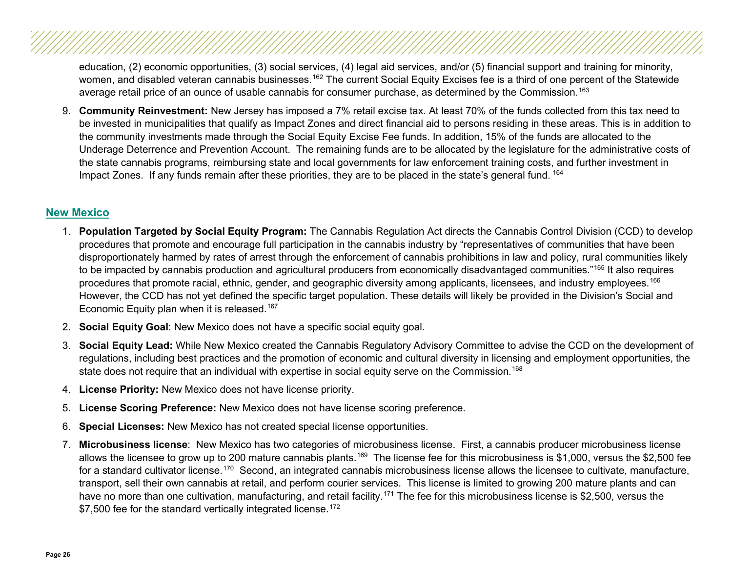education, (2) economic opportunities, (3) social services, (4) legal aid services, and/or (5) financial support and training for minority, women, and disabled veteran cannabis businesses.<sup>[162](#page-39-25)</sup> The current Social Equity Excises fee is a third of one percent of the Statewide average retail price of an ounce of usable cannabis for consumer purchase, as determined by the Commission.<sup>[163](#page-39-26)</sup>

9. **Community Reinvestment:** New Jersey has imposed a 7% retail excise tax. At least 70% of the funds collected from this tax need to be invested in municipalities that qualify as Impact Zones and direct financial aid to persons residing in these areas. This is in addition to the community investments made through the Social Equity Excise Fee funds. In addition, 15% of the funds are allocated to the Underage Deterrence and Prevention Account. The remaining funds are to be allocated by the legislature for the administrative costs of the state cannabis programs, reimbursing state and local governments for law enforcement training costs, and further investment in Impact Zones. If any funds remain after these priorities, they are to be placed in the state's general fund. <sup>[164](#page-39-27)</sup>

#### <span id="page-25-0"></span>**[New Mexico](#page-2-12)**

- 1. **Population Targeted by Social Equity Program:** The Cannabis Regulation Act directs the Cannabis Control Division (CCD) to develop procedures that promote and encourage full participation in the cannabis industry by "representatives of communities that have been disproportionately harmed by rates of arrest through the enforcement of cannabis prohibitions in law and policy, rural communities likely to be impacted by cannabis production and agricultural producers from economically disadvantaged communities."<sup>165</sup> It also requires procedures that promote racial, ethnic, gender, and geographic diversity among applicants, licensees, and industry employees.[166](#page-40-0) However, the CCD has not yet defined the specific target population. These details will likely be provided in the Division's Social and Economic Equity plan when it is released. [167](#page-40-1)
- 2. **Social Equity Goal**: New Mexico does not have a specific social equity goal.
- 3. **Social Equity Lead:** While New Mexico created the Cannabis Regulatory Advisory Committee to advise the CCD on the development of regulations, including best practices and the promotion of economic and cultural diversity in licensing and employment opportunities, the state does not require that an individual with expertise in social equity serve on the Commission.<sup>[168](#page-40-2)</sup>
- 4. **License Priority:** New Mexico does not have license priority.
- 5. **License Scoring Preference:** New Mexico does not have license scoring preference.
- 6. **Special Licenses:** New Mexico has not created special license opportunities.
- 7. **Microbusiness license**: New Mexico has two categories of microbusiness license. First, a cannabis producer microbusiness license allows the licensee to grow up to 200 mature cannabis plants.<sup>169</sup> The license fee for this microbusiness is \$1,000, versus the \$2,500 fee for a standard cultivator license.<sup>170</sup> Second, an integrated cannabis microbusiness license allows the licensee to cultivate, manufacture, transport, sell their own cannabis at retail, and perform courier services. This license is limited to growing 200 mature plants and can have no more than one cultivation, manufacturing, and retail facility.<sup>[171](#page-40-5)</sup> The fee for this microbusiness license is \$2,500, versus the \$7,500 fee for the standard vertically integrated license.<sup>[172](#page-40-6)</sup>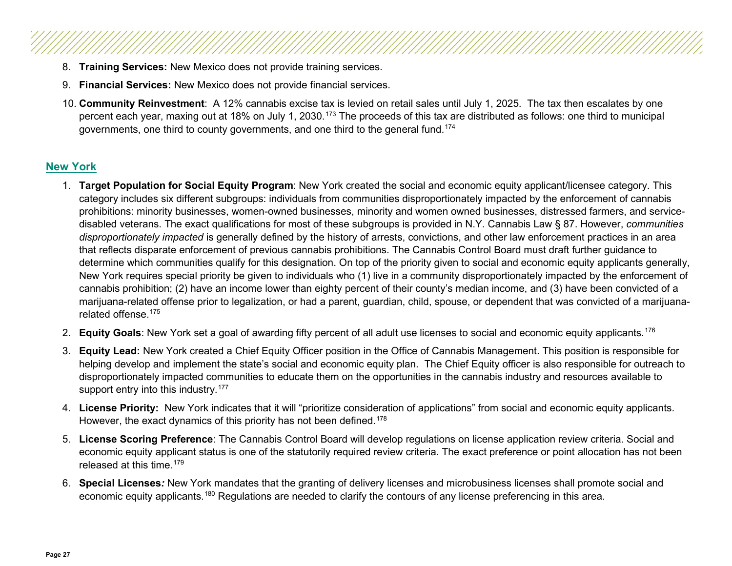- 8. **Training Services:** New Mexico does not provide training services.
- 9. **Financial Services:** New Mexico does not provide financial services.
- 10. **Community Reinvestment**: A 12% cannabis excise tax is levied on retail sales until July 1, 2025. The tax then escalates by one percent each year, maxing out at 18% on July 1, 2030.<sup>[173](#page-40-7)</sup> The proceeds of this tax are distributed as follows: one third to municipal governments, one third to county governments, and one third to the general fund.[174](#page-40-8)

#### <span id="page-26-0"></span>**[New York](#page-2-13)**

- 1. **Target Population for Social Equity Program**: New York created the social and economic equity applicant/licensee category. This category includes six different subgroups: individuals from communities disproportionately impacted by the enforcement of cannabis prohibitions: minority businesses, women-owned businesses, minority and women owned businesses, distressed farmers, and servicedisabled veterans. The exact qualifications for most of these subgroups is provided in N.Y. Cannabis Law § 87. However, *communities disproportionately impacted* is generally defined by the history of arrests, convictions, and other law enforcement practices in an area that reflects disparate enforcement of previous cannabis prohibitions. The Cannabis Control Board must draft further guidance to determine which communities qualify for this designation. On top of the priority given to social and economic equity applicants generally, New York requires special priority be given to individuals who (1) live in a community disproportionately impacted by the enforcement of cannabis prohibition; (2) have an income lower than eighty percent of their county's median income, and (3) have been convicted of a marijuana-related offense prior to legalization, or had a parent, guardian, child, spouse, or dependent that was convicted of a marijuanarelated offense.[175](#page-40-9)
- 2. **Equity Goals**: New York set a goal of awarding fifty percent of all adult use licenses to social and economic equity applicants.[176](#page-40-10)
- 3. **Equity Lead:** New York created a Chief Equity Officer position in the Office of Cannabis Management. This position is responsible for helping develop and implement the state's social and economic equity plan. The Chief Equity officer is also responsible for outreach to disproportionately impacted communities to educate them on the opportunities in the cannabis industry and resources available to support entry into this industry.<sup>[177](#page-40-11)</sup>
- 4. **License Priority:**New York indicates that it will "prioritize consideration of applications" from social and economic equity applicants. However, the exact dynamics of this priority has not been defined.<sup>[178](#page-40-12)</sup>
- 5. **License Scoring Preference**: The Cannabis Control Board will develop regulations on license application review criteria. Social and economic equity applicant status is one of the statutorily required review criteria. The exact preference or point allocation has not been released at this time.<sup>[179](#page-40-13)</sup>
- 6. **Special Licenses***:* New York mandates that the granting of delivery licenses and microbusiness licenses shall promote social and economic equity applicants.<sup>[180](#page-40-14)</sup> Regulations are needed to clarify the contours of any license preferencing in this area.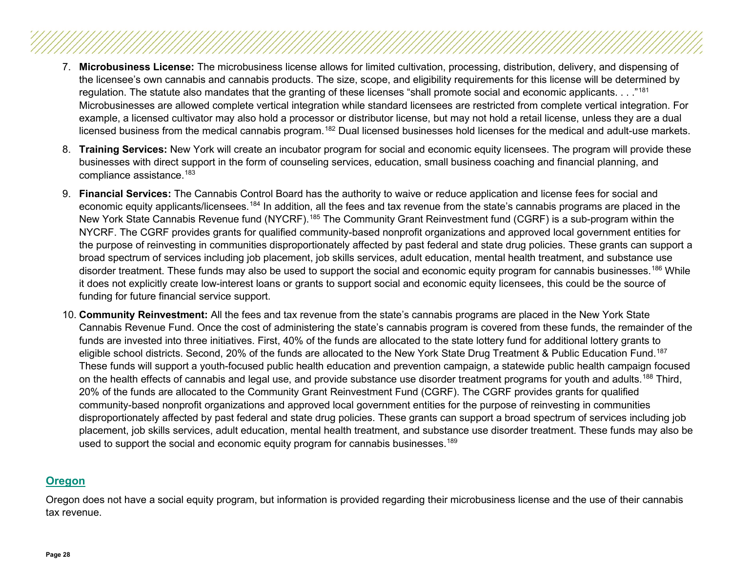- 7. **Microbusiness License:** The microbusiness license allows for limited cultivation, processing, distribution, delivery, and dispensing of the licensee's own cannabis and cannabis products. The size, scope, and eligibility requirements for this license will be determined by regulation. The statute also mandates that the granting of these licenses "shall promote social and economic applicants. . . . "[181](#page-40-15) Microbusinesses are allowed complete vertical integration while standard licensees are restricted from complete vertical integration. For example, a licensed cultivator may also hold a processor or distributor license, but may not hold a retail license, unless they are a dual licensed business from the medical cannabis program.<sup>[182](#page-40-16)</sup> Dual licensed businesses hold licenses for the medical and adult-use markets.
- 8. **Training Services:** New York will create an incubator program for social and economic equity licensees. The program will provide these businesses with direct support in the form of counseling services, education, small business coaching and financial planning, and compliance assistance.<sup>[183](#page-40-17)</sup>
- 9. **Financial Services:** The Cannabis Control Board has the authority to waive or reduce application and license fees for social and economic equity applicants/licensees.[184](#page-40-18) In addition, all the fees and tax revenue from the state's cannabis programs are placed in the New York State Cannabis Revenue fund (NYCRF).<sup>[185](#page-40-19)</sup> The Community Grant Reinvestment fund (CGRF) is a sub-program within the NYCRF. The CGRF provides grants for qualified community-based nonprofit organizations and approved local government entities for the purpose of reinvesting in communities disproportionately affected by past federal and state drug policies. These grants can support a broad spectrum of services including job placement, job skills services, adult education, mental health treatment, and substance use disorder treatment. These funds may also be used to support the social and economic equity program for cannabis businesses.<sup>[186](#page-40-20)</sup> While it does not explicitly create low-interest loans or grants to support social and economic equity licensees, this could be the source of funding for future financial service support.
- 10. **Community Reinvestment:** All the fees and tax revenue from the state's cannabis programs are placed in the New York State Cannabis Revenue Fund. Once the cost of administering the state's cannabis program is covered from these funds, the remainder of the funds are invested into three initiatives. First, 40% of the funds are allocated to the state lottery fund for additional lottery grants to eligible school districts. Second, 20% of the funds are allocated to the New York State Drug Treatment & Public Education Fund.<sup>[187](#page-40-21)</sup> These funds will support a youth-focused public health education and prevention campaign, a statewide public health campaign focused on the health effects of cannabis and legal use, and provide substance use disorder treatment programs for youth and adults.<sup>[188](#page-40-22)</sup> Third, 20% of the funds are allocated to the Community Grant Reinvestment Fund (CGRF). The CGRF provides grants for qualified community-based nonprofit organizations and approved local government entities for the purpose of reinvesting in communities disproportionately affected by past federal and state drug policies. These grants can support a broad spectrum of services including job placement, job skills services, adult education, mental health treatment, and substance use disorder treatment. These funds may also be used to support the social and economic equity program for cannabis businesses.<sup>189</sup>

#### <span id="page-27-0"></span>**[Oregon](#page-2-14)**

Oregon does not have a social equity program, but information is provided regarding their microbusiness license and the use of their cannabis tax revenue.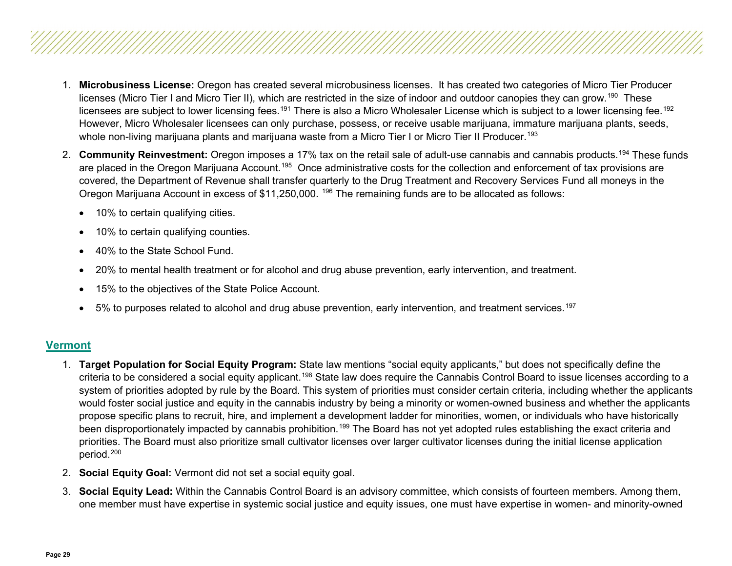- 1. **Microbusiness License:** Oregon has created several microbusiness licenses. It has created two categories of Micro Tier Producer licenses (Micro Tier I and Micro Tier II), which are restricted in the size of indoor and outdoor canopies they can grow.<sup>190</sup> These licensees are subject to lower licensing fees.<sup>[191](#page-40-25)</sup> There is also a Micro Wholesaler License which is subject to a lower licensing fee.<sup>[192](#page-40-26)</sup> However, Micro Wholesaler licensees can only purchase, possess, or receive usable marijuana, immature marijuana plants, seeds, whole non-living marijuana plants and marijuana waste from a Micro Tier I or Micro Tier II Producer.<sup>[193](#page-40-27)</sup>
- 2. **Community Reinvestment:** Oregon imposes a 17% tax on the retail sale of adult-use cannabis and cannabis products.[194](#page-40-28) These funds are placed in the Oregon Marijuana Account.<sup>195</sup> Once administrative costs for the collection and enforcement of tax provisions are covered, the Department of Revenue shall transfer quarterly to the Drug Treatment and Recovery Services Fund all moneys in the Oregon Marijuana Account in excess of \$11,250,000.<sup>[196](#page-41-1)</sup> The remaining funds are to be allocated as follows:
	- 10% to certain qualifying cities.
	- 10% to certain qualifying counties.
	- 40% to the State School Fund.
	- 20% to mental health treatment or for alcohol and drug abuse prevention, early intervention, and treatment.
	- 15% to the objectives of the State Police Account.
	- 5% to purposes related to alcohol and drug abuse prevention, early intervention, and treatment services.<sup>[197](#page-41-2)</sup>

#### <span id="page-28-0"></span>**[Vermont](#page-2-15)**

- 1. **Target Population for Social Equity Program:** State law mentions "social equity applicants," but does not specifically define the criteria to be considered a social equity applicant.[198](#page-41-3) State law does require the Cannabis Control Board to issue licenses according to a system of priorities adopted by rule by the Board. This system of priorities must consider certain criteria, including whether the applicants would foster social justice and equity in the cannabis industry by being a minority or women-owned business and whether the applicants propose specific plans to recruit, hire, and implement a development ladder for minorities, women, or individuals who have historically been disproportionately impacted by cannabis prohibition.<sup>[199](#page-41-4)</sup> The Board has not yet adopted rules establishing the exact criteria and priorities. The Board must also prioritize small cultivator licenses over larger cultivator licenses during the initial license application period.[200](#page-41-5)
- 2. **Social Equity Goal:** Vermont did not set a social equity goal.
- 3. **Social Equity Lead:** Within the Cannabis Control Board is an advisory committee, which consists of fourteen members. Among them, one member must have expertise in systemic social justice and equity issues, one must have expertise in women- and minority-owned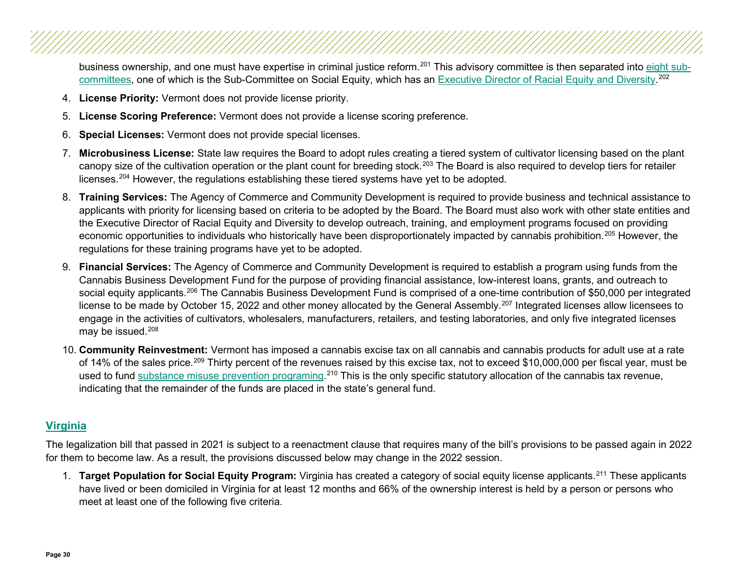business ownership, and one must have expertise in criminal justice reform.<sup>[201](#page-41-6)</sup> This advisory committee is then separated into [eight sub](https://ccb.vermont.gov/advisory-committee-meetings)[committees,](https://ccb.vermont.gov/advisory-committee-meetings) one of which is the Sub-Committee on Social Equity, which has an [Executive Director of Racial Equity and Diversity.](https://ccb.vermont.gov/social-equity-subcom) [202](#page-41-7)

- 4. **License Priority:** Vermont does not provide license priority.
- 5. **License Scoring Preference:** Vermont does not provide a license scoring preference.
- 6. **Special Licenses:** Vermont does not provide special licenses.
- 7. **Microbusiness License:** State law requires the Board to adopt rules creating a tiered system of cultivator licensing based on the plant canopy size of the cultivation operation or the plant count for breeding stock.<sup>[203](#page-41-8)</sup> The Board is also required to develop tiers for retailer licenses.[204](#page-41-9) However, the regulations establishing these tiered systems have yet to be adopted.
- 8. **Training Services:** The Agency of Commerce and Community Development is required to provide business and technical assistance to applicants with priority for licensing based on criteria to be adopted by the Board. The Board must also work with other state entities and the Executive Director of Racial Equity and Diversity to develop outreach, training, and employment programs focused on providing economic opportunities to individuals who historically have been disproportionately impacted by cannabis prohibition.<sup>[205](#page-41-10)</sup> However, the regulations for these training programs have yet to be adopted.
- 9. **Financial Services:** The Agency of Commerce and Community Development is required to establish a program using funds from the Cannabis Business Development Fund for the purpose of providing financial assistance, low-interest loans, grants, and outreach to social equity applicants.<sup>[206](#page-41-11)</sup> The Cannabis Business Development Fund is comprised of a one-time contribution of \$50,000 per integrated license to be made by October 15, 2022 and other money allocated by the General Assembly.<sup>[207](#page-41-12)</sup> Integrated licenses allow licensees to engage in the activities of cultivators, wholesalers, manufacturers, retailers, and testing laboratories, and only five integrated licenses may be issued.<sup>[208](#page-41-13)</sup>
- 10. **Community Reinvestment:** Vermont has imposed a cannabis excise tax on all cannabis and cannabis products for adult use at a rate of 14% of the sales price.<sup>[209](#page-41-14)</sup> Thirty percent of the revenues raised by this excise tax, not to exceed \$10,000,000 per fiscal year, must be used to fund <u>substance misuse prevention programing</u>.<sup>[210](#page-41-15)</sup> This is the only specific statutory allocation of the cannabis tax revenue, indicating that the remainder of the funds are placed in the state's general fund.

#### <span id="page-29-0"></span>**[Virginia](#page-2-16)**

The legalization bill that passed in 2021 is subject to a reenactment clause that requires many of the bill's provisions to be passed again in 2022 for them to become law. As a result, the provisions discussed below may change in the 2022 session.

1. **Target Population for Social Equity Program:** Virginia has created a category of social equity license applicants.[211](#page-41-16) These applicants have lived or been domiciled in Virginia for at least 12 months and 66% of the ownership interest is held by a person or persons who meet at least one of the following five criteria.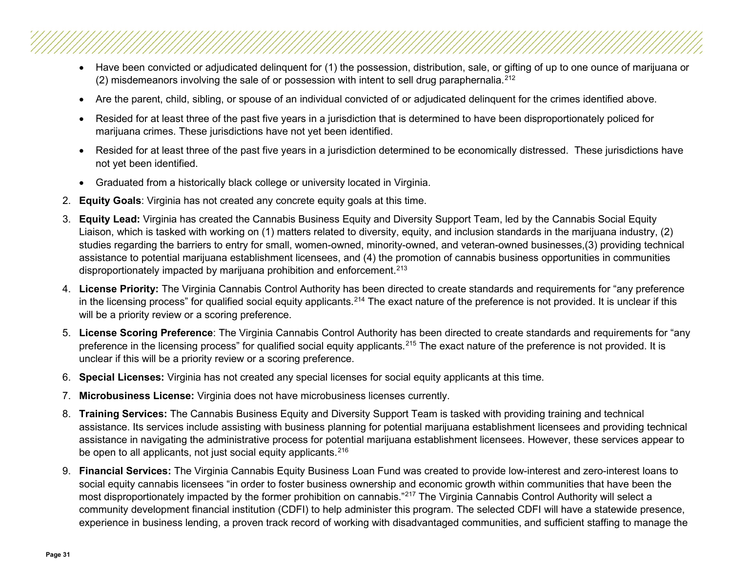- Have been convicted or adjudicated delinquent for (1) the possession, distribution, sale, or gifting of up to one ounce of marijuana or (2) misdemeanors involving the sale of or possession with intent to sell drug paraphernalia.<sup>[212](#page-41-17)</sup>
- Are the parent, child, sibling, or spouse of an individual convicted of or adjudicated delinquent for the crimes identified above.
- Resided for at least three of the past five years in a jurisdiction that is determined to have been disproportionately policed for marijuana crimes. These jurisdictions have not yet been identified.
- Resided for at least three of the past five years in a jurisdiction determined to be economically distressed. These jurisdictions have not yet been identified.
- Graduated from a historically black college or university located in Virginia.
- 2. **Equity Goals**: Virginia has not created any concrete equity goals at this time.
- 3. **Equity Lead:** Virginia has created the Cannabis Business Equity and Diversity Support Team, led by the Cannabis Social Equity Liaison, which is tasked with working on (1) matters related to diversity, equity, and inclusion standards in the marijuana industry, (2) studies regarding the barriers to entry for small, women-owned, minority-owned, and veteran-owned businesses,(3) providing technical assistance to potential marijuana establishment licensees, and (4) the promotion of cannabis business opportunities in communities disproportionately impacted by marijuana prohibition and enforcement.<sup>[213](#page-41-18)</sup>
- 4. **License Priority:** The Virginia Cannabis Control Authority has been directed to create standards and requirements for "any preference in the licensing process" for qualified social equity applicants.<sup>[214](#page-41-19)</sup> The exact nature of the preference is not provided. It is unclear if this will be a priority review or a scoring preference.
- 5. **License Scoring Preference**: The Virginia Cannabis Control Authority has been directed to create standards and requirements for "any preference in the licensing process" for qualified social equity applicants.<sup>[215](#page-41-20)</sup> The exact nature of the preference is not provided. It is unclear if this will be a priority review or a scoring preference.
- 6. **Special Licenses:** Virginia has not created any special licenses for social equity applicants at this time.
- 7. **Microbusiness License:** Virginia does not have microbusiness licenses currently.
- 8. **Training Services:** The Cannabis Business Equity and Diversity Support Team is tasked with providing training and technical assistance. Its services include assisting with business planning for potential marijuana establishment licensees and providing technical assistance in navigating the administrative process for potential marijuana establishment licensees. However, these services appear to be open to all applicants, not just social equity applicants.<sup>[216](#page-41-21)</sup>
- 9. **Financial Services:** The Virginia Cannabis Equity Business Loan Fund was created to provide low-interest and zero-interest loans to social equity cannabis licensees "in order to foster business ownership and economic growth within communities that have been the most disproportionately impacted by the former prohibition on cannabis."[217](#page-41-22) The Virginia Cannabis Control Authority will select a community development financial institution (CDFI) to help administer this program. The selected CDFI will have a statewide presence, experience in business lending, a proven track record of working with disadvantaged communities, and sufficient staffing to manage the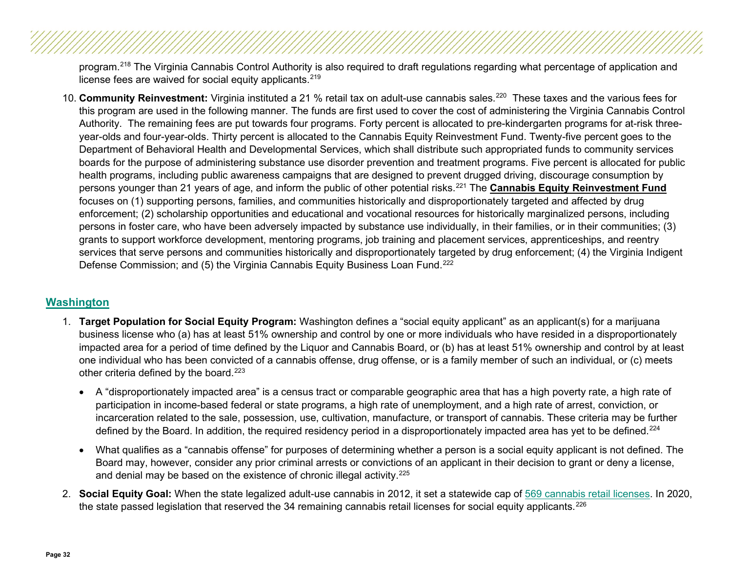program.<sup>[218](#page-41-23)</sup> The Virginia Cannabis Control Authority is also required to draft regulations regarding what percentage of application and license fees are waived for social equity applicants.<sup>[219](#page-41-24)</sup>

10. **Community Reinvestment:** Virginia instituted a 21 % retail tax on adult-use cannabis sales.[220](#page-41-25) These taxes and the various fees for this program are used in the following manner. The funds are first used to cover the cost of administering the Virginia Cannabis Control Authority. The remaining fees are put towards four programs. Forty percent is allocated to pre-kindergarten programs for at-risk threeyear-olds and four-year-olds. Thirty percent is allocated to the Cannabis Equity Reinvestment Fund. Twenty-five percent goes to the Department of Behavioral Health and Developmental Services, which shall distribute such appropriated funds to community services boards for the purpose of administering substance use disorder prevention and treatment programs. Five percent is allocated for public health programs, including public awareness campaigns that are designed to prevent drugged driving, discourage consumption by persons younger than 21 years of age, and inform the public of other potential risks.[221](#page-41-26) The **Cannabis Equity Reinvestment Fund** focuses on (1) supporting persons, families, and communities historically and disproportionately targeted and affected by drug enforcement; (2) scholarship opportunities and educational and vocational resources for historically marginalized persons, including persons in foster care, who have been adversely impacted by substance use individually, in their families, or in their communities; (3) grants to support workforce development, mentoring programs, job training and placement services, apprenticeships, and reentry services that serve persons and communities historically and disproportionately targeted by drug enforcement; (4) the Virginia Indigent Defense Commission; and (5) the Virginia Cannabis Equity Business Loan Fund.<sup>[222](#page-41-27)</sup>

#### **[Washington](#page-2-17)**

- <span id="page-31-0"></span>1. **Target Population for Social Equity Program:** Washington defines a "social equity applicant" as an applicant(s) for a marijuana business license who (a) has at least 51% ownership and control by one or more individuals who have resided in a disproportionately impacted area for a period of time defined by the Liquor and Cannabis Board, or (b) has at least 51% ownership and control by at least one individual who has been convicted of a cannabis offense, drug offense, or is a family member of such an individual, or (c) meets other criteria defined by the board. [223](#page-41-28)
	- A "disproportionately impacted area" is a census tract or comparable geographic area that has a high poverty rate, a high rate of participation in income-based federal or state programs, a high rate of unemployment, and a high rate of arrest, conviction, or incarceration related to the sale, possession, use, cultivation, manufacture, or transport of cannabis. These criteria may be further defined by the Board. In addition, the required residency period in a disproportionately impacted area has yet to be defined.<sup>[224](#page-42-0)</sup>
	- What qualifies as a "cannabis offense" for purposes of determining whether a person is a social equity applicant is not defined. The Board may, however, consider any prior criminal arrests or convictions of an applicant in their decision to grant or deny a license, and denial may be based on the existence of chronic illegal activity.<sup>[225](#page-42-1)</sup>
- 2. **Social Equity Goal:** When the state legalized adult-use cannabis in 2012, it set a statewide cap of [569 cannabis retail licenses.](https://lcb.wa.gov/sites/default/files/publications/Leg_FactSheets/2020_factsheets/2870-Fact-Sheet.pdf) In 2020, the state passed legislation that reserved the 34 remaining cannabis retail licenses for social equity applicants.<sup>[226](#page-42-2)</sup>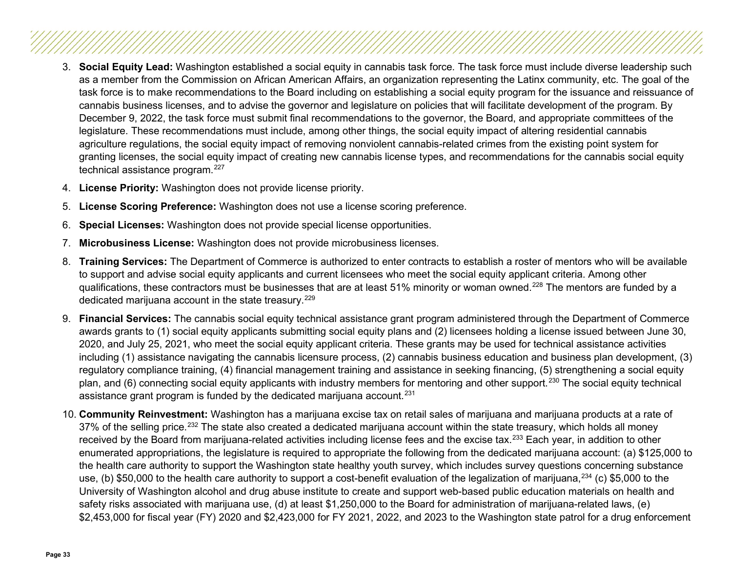- 3. **Social Equity Lead:** Washington established a social equity in cannabis task force. The task force must include diverse leadership such as a member from the Commission on African American Affairs, an organization representing the Latinx community, etc. The goal of the task force is to make recommendations to the Board including on establishing a social equity program for the issuance and reissuance of cannabis business licenses, and to advise the governor and legislature on policies that will facilitate development of the program. By December 9, 2022, the task force must submit final recommendations to the governor, the Board, and appropriate committees of the legislature. These recommendations must include, among other things, the social equity impact of altering residential cannabis agriculture regulations, the social equity impact of removing nonviolent cannabis-related crimes from the existing point system for granting licenses, the social equity impact of creating new cannabis license types, and recommendations for the cannabis social equity technical assistance program.<sup>[227](#page-42-3)</sup>
- 4. **License Priority:** Washington does not provide license priority.
- 5. **License Scoring Preference:** Washington does not use a license scoring preference.
- 6. **Special Licenses:** Washington does not provide special license opportunities.
- 7. **Microbusiness License:** Washington does not provide microbusiness licenses.
- 8. **Training Services:** The Department of Commerce is authorized to enter contracts to establish a roster of mentors who will be available to support and advise social equity applicants and current licensees who meet the social equity applicant criteria. Among other qualifications, these contractors must be businesses that are at least 51% minority or woman owned.<sup>[228](#page-42-4)</sup> The mentors are funded by a dedicated marijuana account in the state treasury. [229](#page-42-5)
- 9. **Financial Services:** The cannabis social equity technical assistance grant program administered through the Department of Commerce awards grants to (1) social equity applicants submitting social equity plans and (2) licensees holding a license issued between June 30, 2020, and July 25, 2021, who meet the social equity applicant criteria. These grants may be used for technical assistance activities including (1) assistance navigating the cannabis licensure process, (2) cannabis business education and business plan development, (3) regulatory compliance training, (4) financial management training and assistance in seeking financing, (5) strengthening a social equity plan, and (6) connecting social equity applicants with industry members for mentoring and other support.<sup>[230](#page-42-6)</sup> The social equity technical assistance grant program is funded by the dedicated marijuana account.<sup>[231](#page-42-7)</sup>
- 10. **Community Reinvestment:** Washington has a marijuana excise tax on retail sales of marijuana and marijuana products at a rate of 37% of the selling price.<sup>[232](#page-42-8)</sup> The state also created a dedicated marijuana account within the state treasury, which holds all money received by the Board from marijuana-related activities including license fees and the excise tax.<sup>[233](#page-42-9)</sup> Each year, in addition to other enumerated appropriations, the legislature is required to appropriate the following from the dedicated marijuana account: (a) \$125,000 to the health care authority to support the Washington state healthy youth survey, which includes survey questions concerning substance use, (b) \$50,000 to the health care authority to support a cost-benefit evaluation of the legalization of marijuana,  $^{234}$  $^{234}$  $^{234}$  (c) \$5,000 to the University of Washington alcohol and drug abuse institute to create and support web-based public education materials on health and safety risks associated with marijuana use, (d) at least \$1,250,000 to the Board for administration of marijuana-related laws, (e) \$2,453,000 for fiscal year (FY) 2020 and \$2,423,000 for FY 2021, 2022, and 2023 to the Washington state patrol for a drug enforcement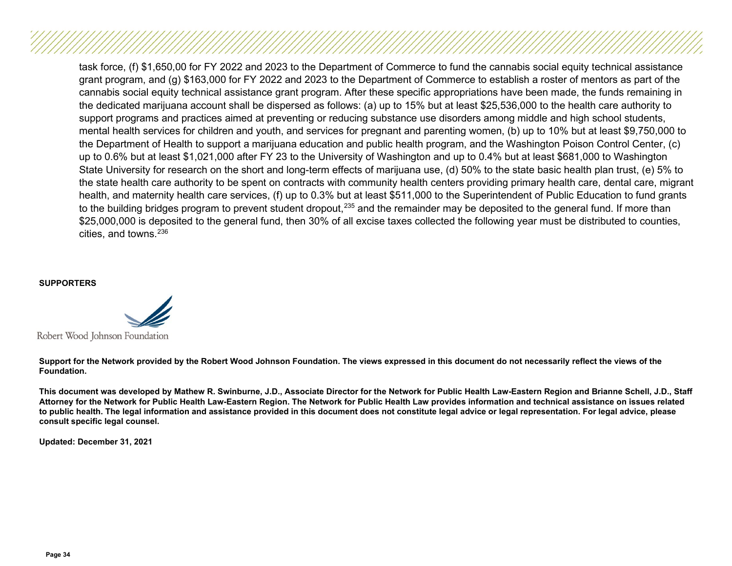task force, (f) \$1,650,00 for FY 2022 and 2023 to the Department of Commerce to fund the cannabis social equity technical assistance grant program, and (g) \$163,000 for FY 2022 and 2023 to the Department of Commerce to establish a roster of mentors as part of the cannabis social equity technical assistance grant program. After these specific appropriations have been made, the funds remaining in the dedicated marijuana account shall be dispersed as follows: (a) up to 15% but at least \$25,536,000 to the health care authority to support programs and practices aimed at preventing or reducing substance use disorders among middle and high school students, mental health services for children and youth, and services for pregnant and parenting women, (b) up to 10% but at least \$9,750,000 to the Department of Health to support a marijuana education and public health program, and the Washington Poison Control Center, (c) up to 0.6% but at least \$1,021,000 after FY 23 to the University of Washington and up to 0.4% but at least \$681,000 to Washington State University for research on the short and long-term effects of marijuana use, (d) 50% to the state basic health plan trust, (e) 5% to the state health care authority to be spent on contracts with community health centers providing primary health care, dental care, migrant health, and maternity health care services, (f) up to 0.3% but at least \$511,000 to the Superintendent of Public Education to fund grants to the building bridges program to prevent student dropout,<sup>[235](#page-42-11)</sup> and the remainder may be deposited to the general fund. If more than \$25,000,000 is deposited to the general fund, then 30% of all excise taxes collected the following year must be distributed to counties, cities, and towns.<sup>[236](#page-42-12)</sup>

#### **SUPPORTERS**



**Support for the Network provided by the Robert Wood Johnson Foundation. The views expressed in this document do not necessarily reflect the views of the Foundation.**

**This document was developed by Mathew R. Swinburne, J.D., Associate Director for the Network for Public Health Law-Eastern Region and Brianne Schell, J.D., Staff Attorney for the Network for Public Health Law-Eastern Region. The Network for Public Health Law provides information and technical assistance on issues related to public health. The legal information and assistance provided in this document does not constitute legal advice or legal representation. For legal advice, please consult specific legal counsel.**

**Updated: December 31, 2021**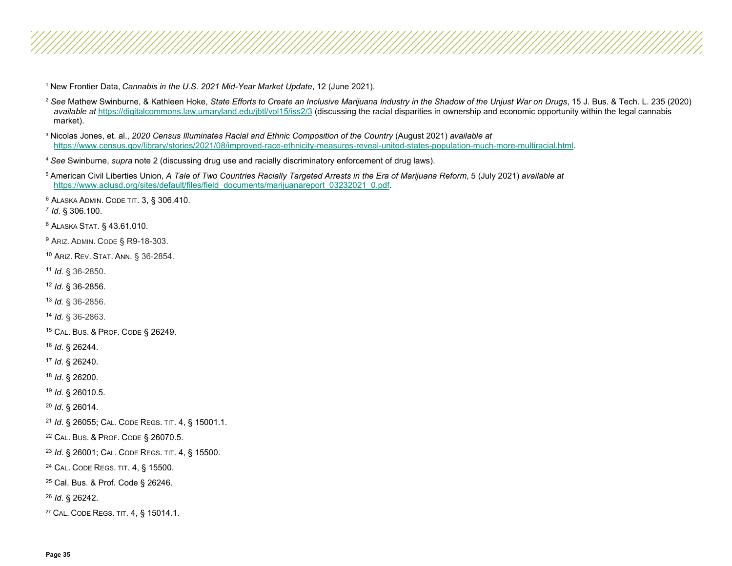<span id="page-34-26"></span><span id="page-34-25"></span><span id="page-34-24"></span><span id="page-34-23"></span><span id="page-34-22"></span><span id="page-34-21"></span><span id="page-34-20"></span><span id="page-34-19"></span><span id="page-34-18"></span><span id="page-34-17"></span><span id="page-34-16"></span><span id="page-34-15"></span><span id="page-34-14"></span><span id="page-34-13"></span><span id="page-34-12"></span><span id="page-34-11"></span><span id="page-34-10"></span><span id="page-34-9"></span><span id="page-34-8"></span><span id="page-34-7"></span><span id="page-34-6"></span><span id="page-34-5"></span><span id="page-34-4"></span><span id="page-34-3"></span><span id="page-34-2"></span><span id="page-34-1"></span><span id="page-34-0"></span>New Frontier Data, *Cannabis in the U.S. 2021 Mid-Year Market Update*, 12 (June 2021).

 *See* Mathew Swinburne, & Kathleen Hoke, *State Efforts to Create an Inclusive Marijuana Industry in the Shadow of the Unjust War on Drugs*, 15 J. Bus. & Tech. L. 235 (2020) *available at* <https://digitalcommons.law.umaryland.edu/jbtl/vol15/iss2/3> (discussing the racial disparities in ownership and economic opportunity within the legal cannabis market).

 Nicolas Jones, et. al., *2020 Census Illuminates Racial and Ethnic Composition of the Country* (August 2021) *available at* [https://www.census.gov/library/stories/2021/08/improved-race-ethnicity-measures-reveal-united-states-population-much-more-multiracial.html.](https://www.census.gov/library/stories/2021/08/improved-race-ethnicity-measures-reveal-united-states-population-much-more-multiracial.html)

*See* Swinburne, *supra* note 2 (discussing drug use and racially discriminatory enforcement of drug laws).

 American Civil Liberties Union, *A Tale of Two Countries Racially Targeted Arrests in the Era of Marijuana Reform*, 5 (July 2021) *available at* [https://www.aclusd.org/sites/default/files/field\\_documents/marijuanareport\\_03232021\\_0.pdf.](https://www.aclusd.org/sites/default/files/field_documents/marijuanareport_03232021_0.pdf)

ALASKA ADMIN. CODE TIT. 3, § 306.410. 7 *Id*. § 306.100.

ALASKA STAT. § 43.61.010.

ARIZ. ADMIN. CODE § R9-18-303.

ARIZ. REV. STAT. ANN. § 36-2854.

*Id.* § 36-2850.

*Id*. § 36-2856.

*Id.* § 36-2856.

*Id.* § 36-2863.

CAL. BUS. & PROF. CODE § 26249.

*Id*. § 26244.

*Id*. § 26240.

*Id*. § 26200.

*Id*. § 26010.5.

*Id*. § 26014.

*Id*. § 26055; CAL. CODE REGS. TIT. 4, § 15001.1.

CAL. BUS. & PROF. CODE § 26070.5.

*Id*. § 26001; CAL. CODE REGS. TIT. 4, § 15500.

CAL. CODE REGS. TIT. 4, § 15500.

Cal. Bus. & Prof. Code § 26246.

*Id*. § 26242.

CAL. CODE REGS. TIT. 4, § 15014.1.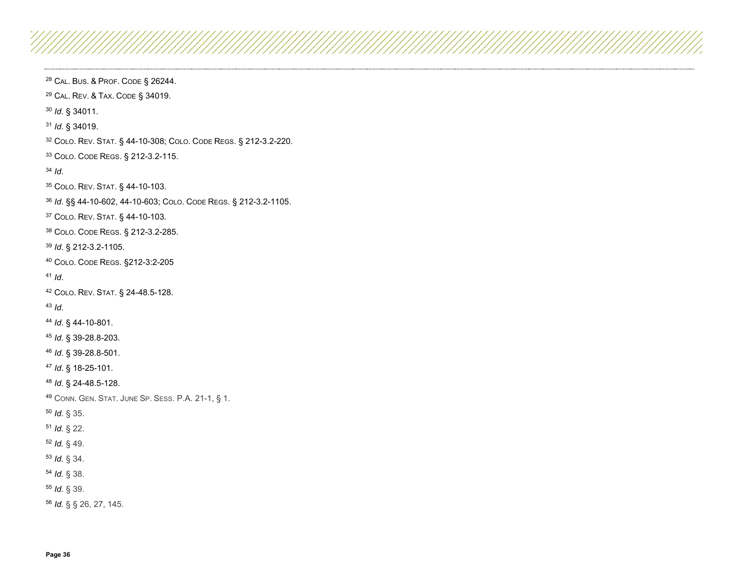<span id="page-35-28"></span><span id="page-35-27"></span><span id="page-35-26"></span><span id="page-35-25"></span><span id="page-35-24"></span><span id="page-35-23"></span><span id="page-35-22"></span><span id="page-35-21"></span><span id="page-35-20"></span><span id="page-35-19"></span><span id="page-35-18"></span><span id="page-35-17"></span><span id="page-35-16"></span><span id="page-35-15"></span><span id="page-35-14"></span><span id="page-35-13"></span><span id="page-35-12"></span><span id="page-35-11"></span><span id="page-35-10"></span><span id="page-35-9"></span><span id="page-35-8"></span><span id="page-35-7"></span><span id="page-35-6"></span><span id="page-35-5"></span><span id="page-35-4"></span><span id="page-35-3"></span><span id="page-35-2"></span><span id="page-35-1"></span><span id="page-35-0"></span> CAL. BUS. & PROF. CODE § 26244. CAL. REV. & TAX. CODE § 34019. *Id*. § 34011. *Id*. § 34019. COLO. REV. STAT*.* § 44-10-308; COLO. CODE REGS. § 212-3.2-220. COLO. CODE REGS. § 212-3.2-115. *Id*. COLO. REV. STAT. § 44-10-103. *Id*. §§ 44-10-602, 44-10-603; COLO. CODE REGS. § 212-3.2-1105. COLO. REV. STAT. § 44-10-103. COLO. CODE REGS. § 212-3.2-285. *Id*. § 212-3.2-1105. COLO. CODE REGS. §212-3:2-205 *Id*. COLO. REV. STAT. § 24-48.5-128. *Id*. *Id*. § 44-10-801. *Id*. § 39-28.8-203. *Id*. § 39-28.8-501. *Id*. § 18-25-101. *Id*. § 24-48.5-128. CONN. GEN. STAT. JUNE SP. SESS. P.A. 21-1, § 1. *Id.* § 35. *Id.* § 22. *Id.* § 49. *Id.* § 34. *Id.* § 38. *Id.* § 39. *Id.* § § 26, 27, 145.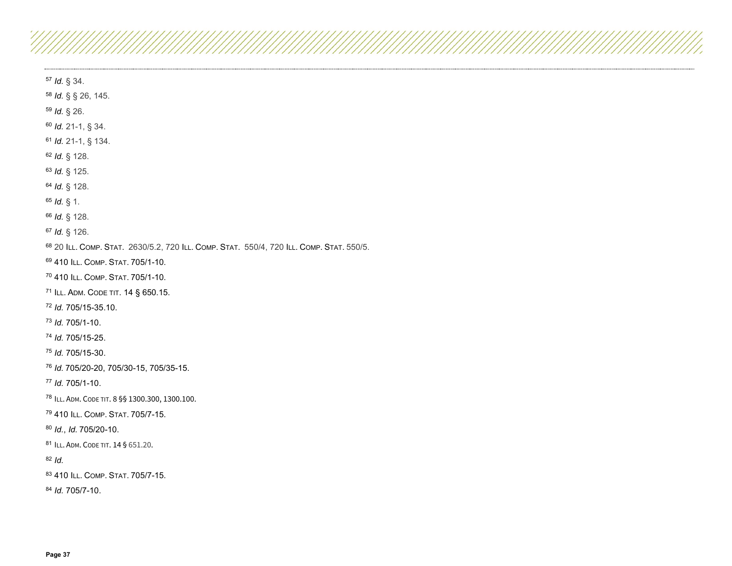<span id="page-36-27"></span><span id="page-36-26"></span><span id="page-36-25"></span><span id="page-36-24"></span><span id="page-36-23"></span><span id="page-36-22"></span><span id="page-36-21"></span><span id="page-36-20"></span><span id="page-36-19"></span><span id="page-36-18"></span><span id="page-36-17"></span><span id="page-36-16"></span><span id="page-36-15"></span><span id="page-36-14"></span><span id="page-36-13"></span><span id="page-36-12"></span><span id="page-36-11"></span><span id="page-36-10"></span><span id="page-36-9"></span><span id="page-36-8"></span><span id="page-36-7"></span><span id="page-36-6"></span><span id="page-36-5"></span><span id="page-36-4"></span><span id="page-36-3"></span><span id="page-36-2"></span><span id="page-36-1"></span><span id="page-36-0"></span> *Id.* § 34. *Id.* § § 26, 145. *Id.* § 26. *Id.* 21-1, § 34. *Id.* 21-1, § 134. *Id.* § 128. *Id.* § 125. *Id.* § 128. *Id.* § 1. *Id.* § 128. *Id.* § 126. 20 ILL. COMP. STAT. 2630/5.2, 720 ILL. COMP. STAT. 550/4, 720 ILL. COMP. STAT. 550/5. 410 ILL. COMP. STAT. 705/1-10. 410 ILL. COMP. STAT. 705/1-10. ILL. ADM. CODE TIT. 14 § 650.15. *Id.* 705/15-35.10. *Id.* 705/1-10. *Id.* 705/15-25. *Id.* 705/15-30. *Id.* 705/20-20, 705/30-15, 705/35-15. *Id.* 705/1-10. ILL. ADM. CODE TIT. 8 §§ 1300.300, 1300.100. 410 ILL. COMP. STAT. 705/7-15. *Id.*, *Id.* 705/20-10. 81 ILL. ADM. CODE TIT. 14 § 651.20. *Id.* 410 ILL. COMP. STAT. 705/7-15. *Id.* 705/7-10.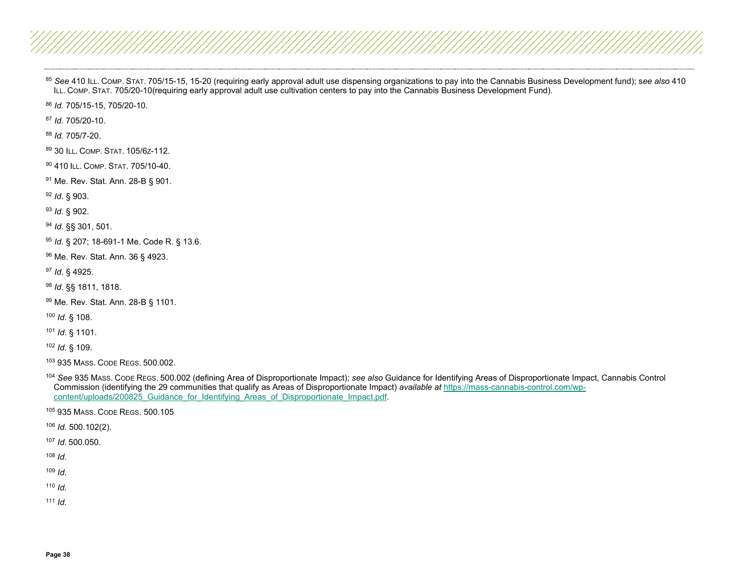<span id="page-37-26"></span><span id="page-37-25"></span><span id="page-37-24"></span><span id="page-37-23"></span><span id="page-37-22"></span><span id="page-37-21"></span><span id="page-37-20"></span><span id="page-37-19"></span><span id="page-37-18"></span><span id="page-37-17"></span><span id="page-37-16"></span><span id="page-37-15"></span><span id="page-37-14"></span><span id="page-37-13"></span><span id="page-37-12"></span><span id="page-37-11"></span><span id="page-37-10"></span><span id="page-37-9"></span><span id="page-37-8"></span><span id="page-37-7"></span><span id="page-37-6"></span><span id="page-37-5"></span><span id="page-37-4"></span><span id="page-37-3"></span><span id="page-37-2"></span><span id="page-37-1"></span><span id="page-37-0"></span> *See* 410 ILL. COMP. STAT. 705/15-15, 15-20 (requiring early approval adult use dispensing organizations to pay into the Cannabis Business Development fund); s*ee also* 410 ILL. COMP. STAT. 705/20-10(requiring early approval adult use cultivation centers to pay into the Cannabis Business Development Fund).

*Id.* 705/15-15, 705/20-10.

*Id.* 705/20-10.

*Id.* 705/7-20.

89 30 ILL. COMP. STAT. 105/6z-112.

410 ILL. COMP. STAT. 705/10-40.

Me. Rev. Stat. Ann. 28-B § 901.

*Id*. § 903.

*Id*. § 902.

*Id*. §§ 301, 501.

*Id*. § 207; 18-691-1 Me. Code R. § 13.6.

Me. Rev. Stat. Ann. 36 § 4923.

*Id*. § 4925.

*Id*. §§ 1811, 1818.

Me. Rev. Stat. Ann. 28-B § 1101.

*Id*. § 108.

*Id*. § 1101.

*Id*. § 109.

935 MASS. CODE REGS. 500.002.

 *See* 935 MASS. CODE REGS. 500.002 (defining Area of Disproportionate Impact); *see also* Guidance for Identifying Areas of Disproportionate Impact, Cannabis Control Commission (identifying the 29 communities that qualify as Areas of Disproportionate Impact) *available at* [https://mass-cannabis-control.com/wp](https://mass-cannabis-control.com/wp-content/uploads/200825_Guidance_for_Identifying_Areas_of_Disproportionate_Impact.pdf)content/uploads/200825\_Guidance\_for\_Identifying\_Areas\_of\_Disproportionate\_Impact.pdf.

935 MASS. CODE REGS. 500.105

*Id.* 500.102(2).

*Id.* 500.050.

*Id.*

*Id.*

*Id.*

 $\overline{1}$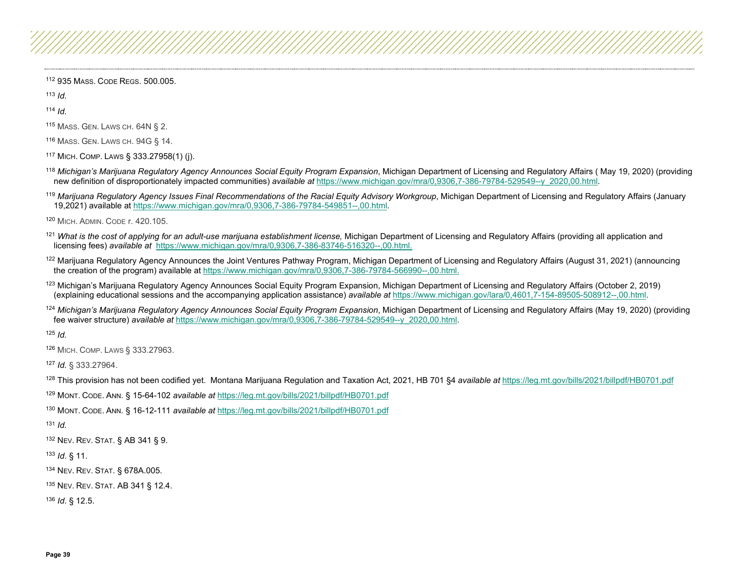<span id="page-38-24"></span><span id="page-38-23"></span><span id="page-38-22"></span><span id="page-38-21"></span><span id="page-38-20"></span><span id="page-38-19"></span><span id="page-38-18"></span><span id="page-38-17"></span><span id="page-38-16"></span><span id="page-38-15"></span><span id="page-38-14"></span><span id="page-38-13"></span><span id="page-38-12"></span><span id="page-38-11"></span><span id="page-38-10"></span><span id="page-38-9"></span><span id="page-38-8"></span><span id="page-38-7"></span><span id="page-38-6"></span><span id="page-38-5"></span><span id="page-38-4"></span><span id="page-38-3"></span><span id="page-38-2"></span><span id="page-38-1"></span><span id="page-38-0"></span><sup>112</sup> 935 MASS. CODE REGS. 500.005.

<sup>113</sup> *Id.*

<sup>114</sup> *Id.*

- <sup>115</sup> MASS. GEN. LAWS CH. 64N § 2.
- <sup>116</sup> MASS. GEN. LAWS CH. 94G § 14.
- <sup>117</sup> MICH. COMP. LAWS § 333.27958(1) (j).
- <sup>118</sup> Michigan's Marijuana Regulatory Agency Announces Social Equity Program Expansion, Michigan Department of Licensing and Regulatory Affairs (May 19, 2020) (providing new definition of disproportionately impacted communities) *available at* [https://www.michigan.gov/mra/0,9306,7-386-79784-529549--y\\_2020,00.html.](https://www.michigan.gov/mra/0,9306,7-386-79784-529549--y_2020,00.html)
- <sup>119</sup> Marijuana Regulatory Agency Issues Final Recommendations of the Racial Equity Advisory Workgroup, Michigan Department of Licensing and Regulatory Affairs (January 19,2021) available at [https://www.michigan.gov/mra/0,9306,7-386-79784-549851--,00.html.](https://www.michigan.gov/mra/0,9306,7-386-79784-549851--,00.html)

<sup>120</sup> MICH. ADMIN. CODE r. 420.105.

- <sup>121</sup> What is the cost of applying for an adult-use marijuana establishment license, Michigan Department of Licensing and Regulatory Affairs (providing all application and licensing fees) *available at* [https://www.michigan.gov/mra/0,9306,7-386-83746-516320--,00.html.](https://www.michigan.gov/mra/0,9306,7-386-83746-516320--,00.html)
- <sup>122</sup> Marijuana Regulatory Agency Announces the Joint Ventures Pathway Program, Michigan Department of Licensing and Regulatory Affairs (August 31, 2021) (announcing the creation of the program) available a[t https://www.michigan.gov/mra/0,9306,7-386-79784-566990--,00.html.](https://www.michigan.gov/mra/0,9306,7-386-79784-566990--,00.html)
- <sup>123</sup> Michigan's Marijuana Regulatory Agency Announces Social Equity Program Expansion, Michigan Department of Licensing and Regulatory Affairs (October 2, 2019) (explaining educational sessions and the accompanying application assistance) *available at* [https://www.michigan.gov/lara/0,4601,7-154-89505-508912--,00.html.](https://www.michigan.gov/lara/0,4601,7-154-89505-508912--,00.html)
- 124 Michigan's Marijuana Regulatory Agency Announces Social Equity Program Expansion, Michigan Department of Licensing and Regulatory Affairs (May 19, 2020) (providing fee waiver structure) *available at* [https://www.michigan.gov/mra/0,9306,7-386-79784-529549--y\\_2020,00.html.](https://www.michigan.gov/mra/0,9306,7-386-79784-529549--y_2020,00.html)

<sup>125</sup> *Id.*

<sup>126</sup> MICH. COMP. LAWS § 333.27963.

<sup>127</sup> *Id.* § 333.27964.

<sup>128</sup> This provision has not been codified yet. Montana Marijuana Regulation and Taxation Act, 2021, HB 701 §4 *available at* <https://leg.mt.gov/bills/2021/billpdf/HB0701.pdf>

<sup>129</sup> MONT. CODE. ANN. § 15-64-102 *available at* <https://leg.mt.gov/bills/2021/billpdf/HB0701.pdf>

<sup>130</sup> MONT. CODE. ANN. § 16-12-111 *available at* <https://leg.mt.gov/bills/2021/billpdf/HB0701.pdf>

<sup>131</sup> *Id.*

<sup>132</sup> NEV. REV. STAT. § AB 341 § 9.

<sup>133</sup> *Id*. § 11.

<sup>134</sup> NEV. REV. STAT. § 678A.005.

<sup>135</sup> NEV. REV. STAT. AB 341 § 12.4.

<sup>136</sup> *Id*. § 12.5.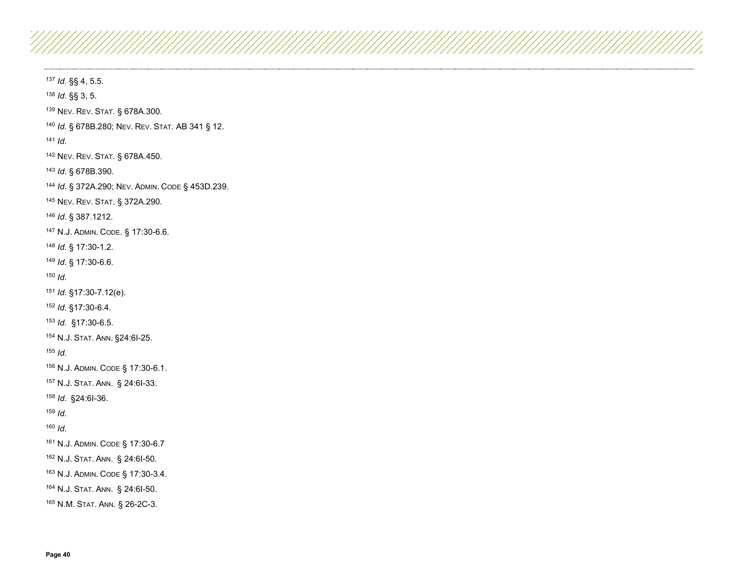<span id="page-39-28"></span><span id="page-39-27"></span><span id="page-39-26"></span><span id="page-39-25"></span><span id="page-39-24"></span><span id="page-39-23"></span><span id="page-39-22"></span><span id="page-39-21"></span><span id="page-39-20"></span><span id="page-39-19"></span><span id="page-39-18"></span><span id="page-39-17"></span><span id="page-39-16"></span><span id="page-39-15"></span><span id="page-39-14"></span><span id="page-39-13"></span><span id="page-39-12"></span><span id="page-39-11"></span><span id="page-39-10"></span><span id="page-39-9"></span><span id="page-39-8"></span><span id="page-39-7"></span><span id="page-39-6"></span><span id="page-39-5"></span><span id="page-39-4"></span><span id="page-39-3"></span><span id="page-39-2"></span><span id="page-39-1"></span><span id="page-39-0"></span> *Id*. §§ 4, 5.5. *Id*. §§ 3, 5. NEV. REV. STAT. § 678A.300. *Id.* § 678B.280; NEV. REV. STAT. AB 341 § 12. *Id*. NEV. REV. STAT. § 678A.450. *Id*. § 678B.390. *Id*. § 372A.290; NEV. ADMIN. CODE § 453D.239. NEV. REV. STAT. § 372A.290. *Id*. § 387.1212. N.J. ADMIN. CODE. § 17:30-6.6. *Id.* § 17:30-1.2. *Id.* § 17:30-6.6. *Id. Id.* §17:30-7.12(e). *Id.* §17:30-6.4. *Id.* §17:30-6.5. N.J. STAT. ANN. §24:6I-25. *Id.* N.J. ADMIN. CODE § 17:30-6.1. N.J. STAT. ANN. § 24:6I-33. *Id.* §24:6I-36. *Id. Id.* N.J. ADMIN. CODE § 17:30-6.7 N.J. STAT. ANN. § 24:6I-50. N.J. ADMIN. CODE § 17:30-3.4. N.J. STAT. ANN. § 24:6I-50. N.M. STAT. ANN. § 26-2C-3.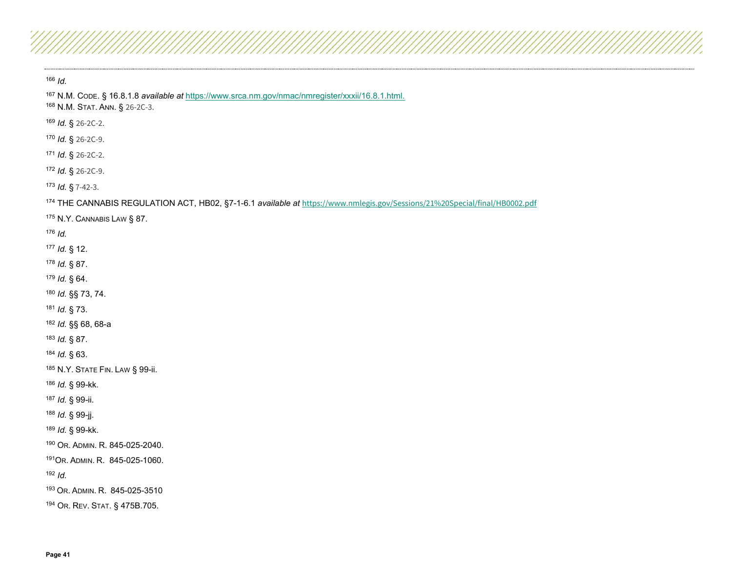<span id="page-40-28"></span><span id="page-40-27"></span><span id="page-40-26"></span><span id="page-40-25"></span><span id="page-40-24"></span><span id="page-40-23"></span><span id="page-40-22"></span><span id="page-40-21"></span><span id="page-40-20"></span><span id="page-40-19"></span><span id="page-40-18"></span><span id="page-40-17"></span><span id="page-40-16"></span><span id="page-40-15"></span><span id="page-40-14"></span><span id="page-40-13"></span><span id="page-40-12"></span><span id="page-40-11"></span><span id="page-40-10"></span><span id="page-40-9"></span><span id="page-40-8"></span><span id="page-40-7"></span><span id="page-40-6"></span><span id="page-40-5"></span><span id="page-40-4"></span><span id="page-40-3"></span><span id="page-40-2"></span><span id="page-40-1"></span><span id="page-40-0"></span> *Id.* N.M. CODE. § 16.8.1.8 *available at* <https://www.srca.nm.gov/nmac/nmregister/xxxii/16.8.1.html.>168 N.M. STAT. ANN. § 26-2C-3. *Id.* § 26-2C-2. *Id.* § 26-2C-9. *Id*. § 26-2C-2. *Id.* § 26-2C-9. *Id.* § 7-42-3. THE CANNABIS REGULATION ACT, HB02, §7-1-6.1 *available at* <https://www.nmlegis.gov/Sessions/21%20Special/final/HB0002.pdf> N.Y. CANNABIS LAW § 87. *Id. Id.* § 12. *Id.* § 87. *Id.* § 64. *Id.* §§ 73, 74. *Id.* § 73. *Id.* §§ 68, 68-a *Id.* § 87. *Id.* § 63. N.Y. STATE FIN. LAW § 99-ii. *Id.* § 99-kk. *Id.* § 99-ii. *Id.* § 99-jj.

*Id.* § 99-kk.

OR. ADMIN. R. 845-025-2040.

191OR. ADMIN. R. 845-025-1060.

*Id.*

OR. ADMIN. R. 845-025-3510

OR. REV. STAT. § 475B.705.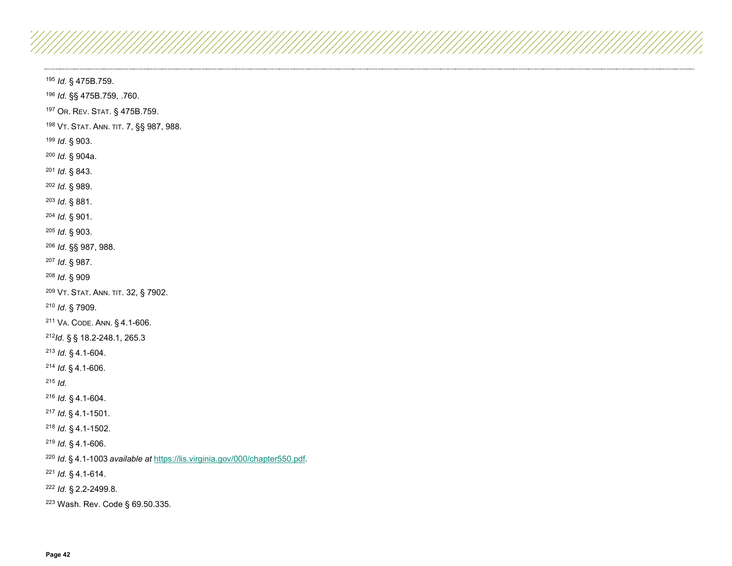<span id="page-41-28"></span><span id="page-41-27"></span><span id="page-41-26"></span><span id="page-41-25"></span><span id="page-41-24"></span><span id="page-41-23"></span><span id="page-41-22"></span><span id="page-41-21"></span><span id="page-41-20"></span><span id="page-41-19"></span><span id="page-41-18"></span><span id="page-41-17"></span><span id="page-41-16"></span><span id="page-41-15"></span><span id="page-41-14"></span><span id="page-41-13"></span><span id="page-41-12"></span><span id="page-41-11"></span><span id="page-41-10"></span><span id="page-41-9"></span><span id="page-41-8"></span><span id="page-41-7"></span><span id="page-41-6"></span><span id="page-41-5"></span><span id="page-41-4"></span><span id="page-41-3"></span><span id="page-41-2"></span><span id="page-41-1"></span><span id="page-41-0"></span>*Id.* § 475B.759.

*Id.* §§ 475B.759, .760.

OR. REV. STAT. § 475B.759.

VT. STAT. ANN. TIT. 7, §§ 987, 988.

*Id*. § 903.

*Id*. § 904a.

*Id*. § 843.

*Id*. § 989.

*Id*. § 881.

*Id.* § 901.

*Id*. § 903.

*Id*. §§ 987, 988.

*Id*. § 987.

*Id*. § 909

VT. STAT. ANN. TIT. 32, § 7902.

*Id*. § 7909.

VA. CODE. ANN. § 4.1-606.

*Id.* § § 18.2-248.1, 265.3

*Id.* § 4.1-604.

*Id.* § 4.1-606.

*Id.*

*Id.* § 4.1-604.

*Id.* § 4.1-1501.

*Id.* § 4.1-1502.

*Id.* § 4.1-606.

*Id.* § 4.1-1003 *available at* [https://lis.virginia.gov/000/chapter550.pdf.](https://lis.virginia.gov/000/chapter550.pdf)

*Id.* § 4.1-614.

*Id.* § 2.2-2499.8.

Wash. Rev. Code § 69.50.335.